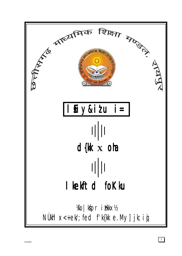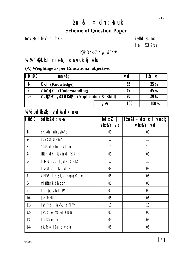# $ilu$  &  $i = dh$ ; ktuk **Scheme of Question Paper**

fo"k; % I kekftd foKku

**i** wkkid %100  $1 e; %3 ?kNs$ 

i jh{kk %gkbl Ldw ¼10ohk

# W/b 'k[kf.kd mnns'; ds vuo kj eku

(A) Weightage as per Educational objective:

| $\overline{\mathsf{I}\mathsf{I}}\,0$<br>Ø0' | $mnns$ :                                                                                                  |      | <b>VD</b>       | ifr'kr            |
|---------------------------------------------|-----------------------------------------------------------------------------------------------------------|------|-----------------|-------------------|
|                                             | Kku (Knowledge)                                                                                           | 35   | 35%             |                   |
| $2 -$                                       | <b>VOCkyk</b> (Understanding)                                                                             |      | 45              | 45%               |
| $\overline{3}$                              | $\overline{VU}$ ( $\overline{I}$ ) $\overline{I}$ ( $\overline{I}$ ) $\overline{I}$ (Application & Skill) |      | $\overline{20}$ | $\overline{20\%}$ |
|                                             |                                                                                                           | ; kx | 100             | 100%              |

# **Xc1/2 bdkbbkj vrdks dk eku**

| $\overline{\mathbf{I}}$ 0Ø0 | bdkbl dk uke                                                     | bdkbl i j<br>vkciVr vid | $i \ell u \& i = ds$ ik: i vuo kj<br>vkciVr vd |
|-----------------------------|------------------------------------------------------------------|-------------------------|------------------------------------------------|
| $1 -$                       | chi ohai nh eafo'o                                               | 08                      | 08                                             |
| $2 -$                       | jk"Vokn dk mn;                                                   | 10                      | 10                                             |
| $3 -$                       | 1945 dsckn dk fo'o                                               | 10                      | 10                                             |
| $4-$                        | Hkkjr dh I kaÑfrd fojkl r                                        | 08                      | 08                                             |
| 5-                          | I ?k o jkT; ljdkj dk Lo: i                                       | 10                      | 10                                             |
| 6-                          | I kekftd tkx: drk                                                | 08                      | 08                                             |
| $7-$                        | $\vee$ kfFk $\triangle$ l eL; k, a , oa pu <code>k§r</code> ; ka | 06                      | 06                                             |
| 8-                          | miHkkDrk dh cpr                                                  | 0 <sub>5</sub>          | 0 <sub>5</sub>                                 |
| $9 -$                       | tul {; k foLQkV                                                  | 0 <sub>5</sub>          | 05                                             |
| $10 -$                      | Je follktu                                                       | 0 <sub>5</sub>          | 0 <sub>5</sub>                                 |
| $11 -$                      | ikÑfrd I a k⁄ku o Ñf'k                                           | 10                      | 10                                             |
| $12 -$                      | [kfut o mtklldk/ku                                               | 05                      | 0 <sub>5</sub>                                 |
| $13-$                       | fuek $lk$ m   $ks$                                               | 0 <sub>5</sub>          | 0 <sub>5</sub>                                 |
| 14-                         | $ekufp = iBu o vdu$                                              | 0 <sub>5</sub>          | 05                                             |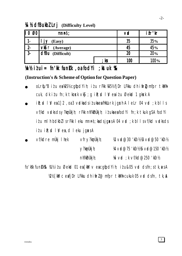$\mathfrak{Z}$ 

# **A** *h* dfBukbl Lrj (Difficulty Level)

| II 0<br>Ø0 | mnns;                         |      | <b>VD</b> | ifr'kr     |
|------------|-------------------------------|------|-----------|------------|
|            | (Easy)                        |      | 35        | <b>35%</b> |
| $2 -$      | $V \mathbf{S} \cap (Average)$ |      | 45        | 45%        |
| $3 -$      | <b>dfBu</b> (Difficult)       |      | 20        | 20%        |
|            |                               | ; kx | 100       | 100%       |

# Vn½ ilui = fn'kk funkk, oa fod Yi ; kst uk % &

# (Instruction's & Scheme of Option for Question Paper)

- oLrfu"B itu ea1051/2 cqfodYih; itu rFkk 1051/2 fjDr LFkku dh ifr@mfpr tkMh cuk, dk iłu fn; k tkosk vkj; g ile; d l V eaiłu Øekd 1 gksk A
- $i$  R;  $i$  d I M ea 1 2, oa 3 vadka dsituka ea filklurk jg x h A I eLr 04 vad; k b I I s vf/kd vidksdsy?kmuthin; rFkk nh?kmuthin; itukaeafodYi fn; k tkuk g\$A fodYi itumlh bdkbllsrFkk lekumnns; kadsjgassA 04 vad; k bllsvf/kd vadksds  $i \ell u$  il: d | y ea d | eku jq $x s A$
- vf/kdre muki I hek ∨fry?kmÙkjh;  $\mathcal{R}$  vd@30 'kcn226 vd@50 'kcn22  $\vee$ ?kmÙkj h; 14 vol@75 'Kn1216 vol@150 'Kn12  $nh?kIn\`Ukj h;$ 16 vid : k vf/kd@250 'kCn1/2

fo'k'sk fund k%& Xilly it u Øekad 01 ea [kM v eacqfod Yih; it u&05 vad dsfn; stk, axsA W21/2 [kM c eafjDr LFkku dh ifrid@ mfpr tkMh cukuk 05 vrd dsfn, tk, A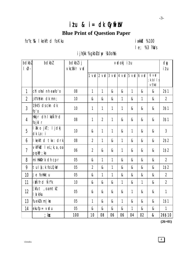# $i$  tu &  $i$  = dk Cyfii bV **Blue Print of Question Paper**

fo"k; % I kekftd foKku

# **i** wkkid %100  $le; %3?kNs$

i jh{kk %gkbLdw ¼l0ohk

| bdkbl<br>$\mathsf{I}$ - $\varnothing$ - | bdkbl                                                  | bdkbl i j<br>vkciVr vid |                | vodkjilu       |              |              |                                                                                                 |    |                               | dy<br>itu      |
|-----------------------------------------|--------------------------------------------------------|-------------------------|----------------|----------------|--------------|--------------|-------------------------------------------------------------------------------------------------|----|-------------------------------|----------------|
|                                         |                                                        |                         |                |                |              |              | $1 \text{ val}$ 2 $\text{ val}$ 3 $\text{ val}$ 4 $\text{ val}$ 5 $\text{ val}$ 6 $\text{ val}$ |    | $6$ vo<br>; k bl l s<br>vf/kd |                |
| 1                                       | chlohalnheafo'o                                        | 08                      | 1              | 1              | &            | &            | 1                                                                                               | &  | &                             | 2\$1           |
| $\overline{2}$                          | jk"Vokn dk mn;                                         | 10                      | &              | &              | &            | 1            | &                                                                                               | 1  | &                             | $\overline{2}$ |
| $\overline{3}$                          | 1945 ds ckn dk<br>$\mathfrak{f}$ 0' $\mathfrak{g}$     | 10                      | 1              | 1              | $\mathbf{1}$ | 1            | &                                                                                               | &  | &                             | 3\$1           |
| 4                                       | Hkkjr dh I khÑfrd<br>fojkl r                           | 08                      | 1              | $\overline{2}$ | 1            | &            | &                                                                                               | &  | &                             | 3\$1           |
| 5                                       | I & o jkT; I jdkj<br>dk Lo: i                          | 10                      | &              | 1              | 1            | &            | 1                                                                                               | &  | &                             | $\overline{3}$ |
| 6                                       | I kekftd tkx: drk                                      | 08                      | $\overline{2}$ | 1              | &            | 1            | &                                                                                               | &  | &                             | 2\$2           |
| $\overline{1}$                          | $V$ kfFk $H \cup I$ eL; k, a, oa<br>$p$ $q$ k $r$ ; ka | 06                      | $\overline{2}$ | &              | &            | 1            | &                                                                                               | &  | &                             | 1\$2           |
| 8                                       | miHkbrk dh cpr                                         | 05                      | &              | 1              | 1            | &            | &                                                                                               | &  | &                             | $\overline{2}$ |
| 9                                       | tul {; k foLQkV                                        | 05                      | $\overline{2}$ | &              | 1            | &            | &                                                                                               | &  | &                             | 1\$2           |
| 10                                      | Je follktu                                             | 05                      | &              | 1              | 1            | &            | &                                                                                               | &  | &                             | $\overline{2}$ |
| 11                                      | ikÑfrd Ñfk                                             | 10                      | &              | &              | &            | $\mathbf{1}$ | &                                                                                               | 1  | &                             | $\overline{2}$ |
| 12                                      | [kfut , oamtk]<br>l a k/ku                             | 05                      | &              | &              | &            | &            | 1                                                                                               | &  | &                             | $\mathbf{1}$   |
| 13                                      | fuek $lk$ m   $ks$                                     | 05                      | 1              | &              | &            | 1            | &                                                                                               | &  | &                             | 1\$1           |
| 14                                      | $ekufp = vdu$                                          | $05\,$                  | &              | &              | &            | &            | 1                                                                                               | &  | &                             | 1              |
|                                         | ; kx                                                   | 100                     | 10             | 08             | 06           | 06           | 04                                                                                              | 02 | $\boldsymbol{\&}$             | 26\$10         |

 $(26+01)$ 

 $\overline{4}$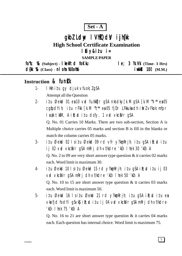

# gkbl Ldw I VhłOdy i jh(k

**High School Certificate Examination** 

# lfiy&itu i=

**SAMPLE PAPER** 

 $f_0$ "k;  $\%$  (Subject) - kelftd foKku  $le; 3$   $\mathcal{R}.\mathsf{W}$  (Time- 3 Hrs) d{kk %& (Class) - nl oha Xi0oh % **i** wkkid 100 (M.M.)

# Instruction & funk

- I Hkh itu gy djuk vfuok; lgSA  $1.$ Attempt all the Question
- itu Øekod 01 en 10 vod fu/kktjr gSA nksdky $\lceil k.M \rceil$ gSA  $\lceil k.M \rceil$ <sup>\*</sup> en 05  $2$ cgtjodYih; itu rFkk [k.M "c\*\* ea 05 fjDr LFkkuka dh itirl vFkok mfpr l cak tkm, A i R; cd i t u dsfy, 1 v cd vkciVr qSA

Q. No. 01 Carries 10 Marks. There are two sub-section, Section A is Multiple choice carries 05 marks and section B is fill in the blanks or match the column carries 05 marks.

- $3$ itu Øekod 02 lsitu Øekod 09 rd vfr y?konRrih; itu qSA iR; ditu ij 02 vrd vkciNr g\$A mRrj dh vf/kdre 'kCn I hek 30 'kCn A Q. No. 2 to 09 are very short answer type question  $&$  it carries 02 marks each. Word limit is maximum 30.
- itu Øekod 10 lsitu Øekod 15 rd y?komRrjh; itu q\$A iR; ditu ij 03  $\overline{4}$ vid vkci Vr gs Amri dh vf/kdre 'kin I hek 50 'kin A O. No. 10 to 15 are short answer type question  $\&$  it carries 03 marks each. Word limit is maximum 50.
- $5$ itu Øekod 16 lsitu Øekod 21 rd y?kon Rrjh; itu q\$A ik; ditu ea vkrfjd fod Yi q S v k \$ i R; sd i z u i j 04 v rd v k c i V r q S A m R r j dh v f/k d r e 'kCn I hek 75 'kCn A

Q. No. 16 to 21 are short answer type question  $\&$  it carries 04 marks each. Each question has internal choice. Word limit is maximum 75.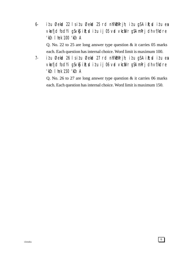- 6- iz'u Øekad 22 ls iz'u Øekad 25 rd nh?k $m$ Rrjh; iz'u gSA i $\mathbb{R}$ ; diziu esa vkarfjd fodYi gSvk\$ ik; ditu ij 05 vad vkcaNr gSA mRrj dh vf/kdre 'kCn lhek 100 'kCn A Q. No. 22 to 25 are long answer type question & it carries 05 marks each. Each question has internal choice. Word limit is maximum 100.
- 7- i $i$ u Øekad 26 ls i $i$ u Øekad 27 rd nh?k $\delta$ mRrjh; i $i$ u gSA i $\mathbb{R}$ ;sd i $i$ u esa vkrfjd fodYi gSvk\$ ik; ditu ij 06 vrd vkcaVr gSA mRrj dh vf/kdre 'kCn lhek 150 'kCn A

Q. No. 26 to 27 are long answer type question & it carries 06 marks each. Each question has internal choice. Word limit is maximum 150.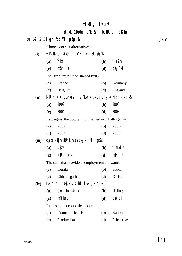|       |     |                                                               | "Ifly itu" |                     |       |
|-------|-----|---------------------------------------------------------------|------------|---------------------|-------|
|       |     | $d$ {kk 10oh) fo"k; & lkekftd foKku                           |            |                     |       |
|       |     | itu 1& ¼v½ <b>Igh fodYipqfu,&amp;</b>                         |            |                     | (1x5) |
|       |     | Choose correct alternatives :-                                |            |                     |       |
| (i)   |     | VKS Kord Økar I od Fre Vkjak gipi &                           |            |                     |       |
|       | (a) | Ýka                                                           | <b>(b)</b> | teluh               |       |
|       | (c) | $cft$ ; e                                                     | (d)        | bxysM               |       |
|       |     | Industrial revolution started first -                         |            |                     |       |
|       | (a) | France                                                        | (b)        | Germany             |       |
|       | (c) | <b>Belgium</b>                                                | (d)        | England             |       |
| (ii)  |     | NRrhl $x$ < + ea ngst i fr "kk vf/kfu; e ykxwfd; k $x$ ; k&   |            |                     |       |
|       | (a) | 2002                                                          | <b>(b)</b> | 2006                |       |
|       | (c) | 2004                                                          | (d)        | 2008                |       |
|       |     | Law aginst the dowry implimented in chhattisgarh -            |            |                     |       |
|       | (a) | 2002                                                          | (b)        | 2006                |       |
|       | (c) | 2004                                                          | (d)        | 2008                |       |
| (iii) |     | $c$ sjkst $x$ kjh Hk $R$ rk n $u$ s ok $y$ k jk $T$ ; g $s$ & |            |                     |       |
|       | (a) | djy                                                           | <b>(b)</b> | fl f <sub>Dde</sub> |       |
|       | (c) | $N$ Rrhl $x < +$                                              | (d)        | mMhI k              |       |
|       |     | The state that provide unemployment allowance -               |            |                     |       |
|       | (a) | Kerala                                                        | (b)        | Sikkim              |       |
|       | (c) | Chhattisgarh                                                  | (d)        | Orrisa              |       |
| (iv)  |     | Hkkjr dhi eq[k $\vee$ kfFkd lel; k g $\&$                     |            |                     |       |
|       | (a) | $eV$ ; fu; $U = .k$                                           | <b>(b)</b> | jk' kfux            |       |
|       | (c) | mki knu                                                       | (d)        | $e\mathbf{M}$ ; of) |       |
|       |     | India's main economic problem is -                            |            |                     |       |
|       | (a) | Control price rise                                            | (b)        | Rationing           |       |
|       | (c) | Production                                                    | (d)        | Price rise          |       |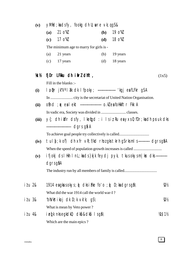| (v)             | $y$ Mid; kadsfy, fookg dh U; wre $vk$ ; qg S&                                               |     |          |         |  |  |  |  |
|-----------------|---------------------------------------------------------------------------------------------|-----|----------|---------|--|--|--|--|
|                 | $21 \t0$ " $V$<br>(a)                                                                       | (b) | 19 o"kl  |         |  |  |  |  |
|                 | 17 o"kl<br>(c)                                                                              | (d) | 18 o"kl  |         |  |  |  |  |
|                 | The minimum age to marry for girls is -                                                     |     |          |         |  |  |  |  |
|                 | 21 years<br>(a)                                                                             | (b) | 19 years |         |  |  |  |  |
|                 | (c)<br>17 years                                                                             | (d) | 18 years |         |  |  |  |  |
| Кk              | fjDr LFkku dh ifrl dhft,                                                                    |     |          | (1x5)   |  |  |  |  |
|                 | Fill in the blanks :-                                                                       |     |          |         |  |  |  |  |
| (i)             | la pr jk"V <sup>a</sup> l ak dk l fpoky; -------------------- 'kgj ea fLFkr gSA             |     |          |         |  |  |  |  |
|                 |                                                                                             |     |          |         |  |  |  |  |
| (ii)            | ofind ; $\alpha$ ealekt ---------------------- o.kleafolikkftr Fkk A                        |     |          |         |  |  |  |  |
|                 |                                                                                             |     |          |         |  |  |  |  |
| (iii)           | $y$ $\left\{\right\}$ ; dhiliflr dsfy, llengd: i lsiz Ru ea yxs0; fDr; ka dh pruk dks       |     |          |         |  |  |  |  |
|                 | ---------------------------- dgrs g& A                                                      |     |          |         |  |  |  |  |
|                 | To achieve goal people try collectively is called                                           |     |          |         |  |  |  |  |
| (iv)            | tul $\{x : k \text{ of } x\}$ dh xfr vR; f/kd rhozgks tkrh gS rks ml s  dgrsg\$A            |     |          |         |  |  |  |  |
|                 |                                                                                             |     |          |         |  |  |  |  |
| (v)             | ifjokj ds I Hkh I nL; kads }kjk feydj pyk, tkus okys m   kx dks ------------                |     |          |         |  |  |  |  |
|                 | $dgrsg\$ A                                                                                  |     |          |         |  |  |  |  |
|                 |                                                                                             |     |          |         |  |  |  |  |
| i <i>t</i> u 2& | 1914 eagkus okys; $\mathfrak{g}$ clks if ke fo'o; $\mathfrak{g}$ D; kadgrs g $\mathfrak{g}$ |     |          | ₩       |  |  |  |  |
|                 | What did the war 1914 call the world war-I?                                                 |     |          |         |  |  |  |  |
| i <i>t</i> u 3& | ^ohVkšikoj dk D;k vk'k; gS                                                                  |     |          | V2½     |  |  |  |  |
|                 | What is mean by Veto power?                                                                 |     |          |         |  |  |  |  |
| i <i>t</i> u 4& | $i$ eq k nks eg kdk $0$ ; dk $\Omega$ &dk $\Omega$ l s g $\Omega$                           |     |          | 14\$112 |  |  |  |  |
|                 | Which are the main epics?                                                                   |     |          |         |  |  |  |  |

8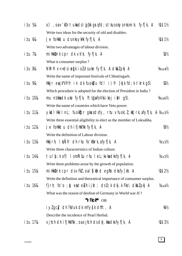| o), oav'kDrtukadslij{kk grid; stkusokysnksmik; fyf[k, A                         | <b>VA\$1%</b>              |
|---------------------------------------------------------------------------------|----------------------------|
| Write two ideas for the security of old and disables.                           |                            |
| Je follkktu dsnksyklik fyf[k, A                                                 | M\$1½                      |
| Write two advantages of labour division.                                        |                            |
| millkkDrk cpr dk vk'k; fyf[k, A                                                 | $W_2$                      |
| What is consumer surplus?                                                       |                            |
| NRrhl $x$ < + ds i eq[k i olds uke fyr[k, A dkblpkj A                           | $\frac{1}{4}$              |
| Write the name of important festivals of Chhattisgarh.                          |                            |
| Hkkjr e $a$ jk"Vii fr in dk fuok $b$ u fdl i) fr }kjk fd;k tkrk g $S \setminus$ | 1/21/2                     |
| Which procedure is adopted for the election of President in India?              |                            |
| mu nskkadk uke fyf[k, ftUgafoVksikoj iklr g $\mathcal{S} \setminus$             | $\frac{1}{4}x_0$           |
| Write the name of countries which have Veto power.                              |                            |
| ykdl Hkk I nL; fuoktpr gkusdsfy, rhu vfuok; l; kx; rk, afyf[k, A ¼x3½           |                            |
| Write three essential aligibility to elect as the member of Loksabha.           |                            |
| Je follkktu dh ifjlkk"kk fyf[k, A                                               | $W_2$                      |
| Write the definition of Labour division.                                        |                            |
| Hkkjrh; I kÑfr dh rhu fo'kkrk, afyf[k, A                                        | $\frac{1}{4}x3\frac{1}{2}$ |
| Write three characteristics of Indian culture.                                  |                            |
| tul {; k of) I smRillu rhu I eL; kvkadksfyf[k, A                                | $\frac{1}{4}x3\frac{1}{2}$ |
| Write three problems arose by the growth of population.                         |                            |
| millkkDrk cpr dsvFkl, oal 9 kird egko dksfy[kh, A                               | 闪\$2½                      |
| Write the definition and theoratical importance of comsumer surplus.            |                            |
| f}rh; fo'o ; y) eateluh ijkt; dsD;k dkj.k Fks\ dkblpkj A                        | $\frac{1}{4}x4\frac{1}{2}$ |
| What was the reason of deofeat of Germany in World war-II?                      |                            |
| "VFkok** OR                                                                     |                            |
| iylgcly dh ?kVuk dk mYy{k dhft, A                                               | V4½                        |
| Describe the incidence of Pearl Herbal.                                         |                            |
| xjhch dh ifjHkk"kk , oaxjhch ds dkj.kka dksfyf[k, A                             | M\$3½                      |
|                                                                                 |                            |

 $\boxed{9}$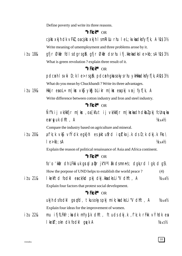Define poverty and write its three reasons.

#### "VFkok\*" OR

cjkst xkjh dk vFkl, oacjkst xkjh I smRillu rhu I eL; kvkadksfyffk, A ¼\$3½ Write meaning of umemployment and three problems arose by it.

gfir Økir fdl sdgrsgi\gfir Økir dsrhu ifj.kkekadksle>kb; sA ¼\$3½ i*t*u 18& What is green revolution? explain three result of it.

#### "VFkok\*\* OR

pdcmh I svki D; k I e>rsq\$\pdcmh qkusokysrhu ykHkkadksfyf[k, A¼1\$3½ What do you mean by Chuckbandi? Write its three advantages.

 $i$   $t$   $u$   $198$ Hkkir eaol = m | kx  $\vee$ ks  $\vee$ ks blikr m | kx eapkj  $\vee$ rj f $\vee$ f[k, A

Write difference between cotton industry and Iron and steel industry.

#### "VFkok\*\* OR

Ñfk ij vk/kkfjr m|ks , oa [kfut ij vk/kkfjr m|kskadh dkblpkj fcUnyka earwuk dhft, A  $\frac{1}{4}x4\frac{1}{2}$ 

Compare the industry based on agriculture and mineral.

 $a f' k$ ; k vk $\int$  vfÝdk egk}hi es  $i k t u$  frd i wt $k x$ j.k ds D; k dkj.k Fks  $i$   $t$   $u$   $208$  $le$   $\ge$ kb; sA  $\frac{1}{4}x4\frac{1}{2}$ 

Explain the reason of political renaissance of Asia and Africa continent.

### "VFkok\*\* OR

fo'o 'kkir dh LFkki uk qrql a  $\mathfrak{p}$ r jk"Val  $\mathfrak{R}$  dsmnns; dqk; rd l qk; d q $S \setminus$ How the porpose of UND helps to establish the world peace?  $(4)$ 

itu 21& I kekftd fodkl eack/kd pkj dkj.kkadksLi"V dhft, A  $\frac{1}{4}x4\frac{1}{2}$ Explain four factors that protest social development.

#### "VFkok\*\* OR

ukjh dsfodkl grafd, tkusokyspkj mik; kadksli "V dhft, A  $\frac{1}{4}x4\frac{1}{2}$ Explain four ideas for the improvement of women.

i*t* u 22& mu ifjfLFkfr;kadk mYy{k dhft, ftudsdkj.k, f'k;k rFkk vÝhdk ea I kekT; okn dk fodkl gryk A  $\frac{1}{4} \times 5\%$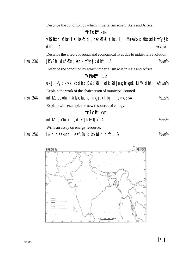|                  | Describe the condition by which imperialism rose in Asia and Africa.                                                       |                          |
|------------------|----------------------------------------------------------------------------------------------------------------------------|--------------------------|
|                  | "VFkok** OR                                                                                                                |                          |
|                  | vKS  kfxd Økfir I sl kekftd , oavkfFkd thou i j i Musokysi Hkkokadk mYy{k                                                  |                          |
|                  | dhft, A                                                                                                                    | $\frac{1}{4} \times 5\%$ |
|                  | Describe the effects of social and economical lives due to industrial revolution.                                          |                          |
| i <i>t</i> u 23& | jk"Vii fr ds 'kfDr; kadk mYy{k dhft, A                                                                                     | $\frac{1}{4} \times 5\%$ |
|                  | Describe the condition by which imperialism rose in Asia and Africa.                                                       |                          |
|                  | "VFkok** OR                                                                                                                |                          |
|                  | $uxj$ ikfydk $v'$ ; {k dksdk $\Omega$ k $\Omega$ k $i$ l sdk; <i>l</i> djusgk $rsg\Omega \$ Li "V dhft, $A\Delta x5\Omega$ |                          |
|                  | Explain the work of the chairperson of municipal council.                                                                  |                          |
| i <i>t</i> u 24& | mtkldsuohu la k/kukadksmnkgj.k lfgr le>kb;sA                                                                               | $\frac{1}{4} \times 5\%$ |
|                  | Explain with example the new resources of energy.                                                                          |                          |
|                  | "VFkok** OR                                                                                                                |                          |
|                  | mtklikku ij dysk fyf[k, A                                                                                                  | $\frac{1}{4} \times 5\%$ |
|                  | Write an essay on energy resource.                                                                                         |                          |
| i <i>t</i> u 25& | Hkir dsekufp= eafuEu dksvidr dhft, &                                                                                       | $\frac{1}{4} \times 5\%$ |

- Hikijr dsekufp= eafuEu disviidr difft, &  $11U258$ 

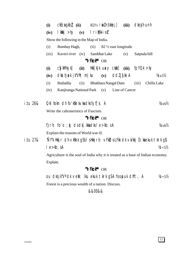|         | (i)      | $ckEca gkb$ (ii) $82\frac{1}{2}$ i ol ns kkr j]                                 |      |             |                           |                                | (iii)          | dkojh unh    |             |                              |
|---------|----------|---------------------------------------------------------------------------------|------|-------------|---------------------------|--------------------------------|----------------|--------------|-------------|------------------------------|
|         | (iv)     | lkklkj >hy (v) lrimulkioh                                                       |      |             |                           |                                |                |              |             |                              |
|         |          | Show the following in the Map of India.                                         |      |             |                           |                                |                |              |             |                              |
|         | (i)      | Bombay Hagh,                                                                    |      | (ii)        |                           | $82\frac{1}{2}$ east longitude |                |              |             |                              |
|         | (iii)    | Kaveri river (iv)                                                               |      |             | Sambhar Lake              |                                | (v)            | Satpuda hill |             |                              |
|         |          |                                                                                 |      | "VFkok** OR |                           |                                |                |              |             |                              |
|         | (i)      | <b>CSykMhykJ</b>                                                                | (ii) |             | $Hkk[kjk uxy ckdk]$ (iii) |                                |                | fpYQk > hy   |             |                              |
|         | (iv)     | $dk$ athjak jk Vh; m ku (v) ddl j $\{kk \mid A$                                 |      |             |                           |                                |                |              |             | $\frac{1}{4} \times 5\%$     |
|         | (i)      | Bailadila                                                                       | (ii) |             | Bhakhara Nangal Dam       |                                |                | (iii)        | Chilfa Lake |                              |
|         | (iv)     | Kanjiranga National Park (v)                                                    |      |             |                           |                                | Line of Cancer |              |             |                              |
|         |          |                                                                                 |      |             |                           |                                |                |              |             |                              |
| itu 26& |          | Okl hokn dh fo'kskrk $\vee$ ka dks fyf[k, A                                     |      |             |                           |                                |                |              |             | $\frac{1}{4}x_6\frac{1}{2}$  |
|         |          | Write the cahrateristics of Fascism.                                            |      |             |                           |                                |                |              |             |                              |
|         |          |                                                                                 |      | "VFkok** OR |                           |                                |                |              |             |                              |
|         |          | f}rh; fo'o; $\phi$ dsdkj.kkadksle>kb;sA                                         |      |             |                           |                                |                |              |             | $\frac{1}{4}x_6\frac{1}{2}$  |
|         |          | Explain the reasons of World war-II.                                            |      |             |                           |                                |                |              |             |                              |
| itu 27& |          | "Nf"k Hkkjr dh vkRek gSbI sHkkjrh; vFkD; oLFkk dk vk/kkj D; kaekuk tkrk g\$     |      |             |                           |                                |                |              |             |                              |
|         |          | $le$ -kb; sA                                                                    |      |             |                           |                                |                |              |             | $1/4 + 5/2$                  |
|         |          | Agriculture is the soul of India why it is treated as a base of Indian economy. |      |             |                           |                                |                |              |             |                              |
|         | Explain. |                                                                                 |      |             |                           |                                |                |              |             |                              |
|         |          |                                                                                 |      | "VFkok** OR |                           |                                |                |              |             |                              |
|         |          | ou dksjk"V <sup>a</sup> dk vell; /ku ekuk tkrk g\$A foopuk dhft, A              |      |             |                           |                                |                |              |             | $\frac{1}{4} + 5\frac{1}{2}$ |
|         |          | Forest is a precious wealth of a nation. Discuss.                               |      |             |                           |                                |                |              |             |                              |

&&00&&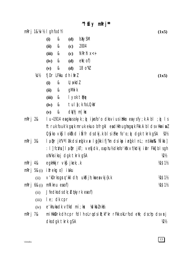$M$  fiy mRrj\*\*

mRrj 1&\% I gh fodYi

bxysM &  $(i)$ (d) 2004  $(ii)$ &  $(c)$  $N$ Rrhl  $x < +$  $(iii)$ &  $(c)$  $e\mathbf{M}$ ; of  $)$  $(iv)$  $\&$ **(d)** 18 o"kl  $\&$  $(v)$ **(d)** 

fjDr LFkku dh ifrl  $\frac{1}{2}$ 

- $\&$  $U: W$  kdl  $(i)$
- gM**H**ik &  $(ii)$
- I yok tMe  $(iii)$  $\mathcal{R}$
- tul {; k foLQky  $\mathcal{R}$  $(iv)$
- $d$ *Vhi* m | k $x$  $\alpha$  $(v)$

 $mRrj$  2&  $1 u$ -1914 eagkusokyk;  $\phi$  iyisfo'o dksviusitkko eaysfy; k A bl;  $\phi$  Is ftruk fouk'k gyk mruk ekuo bfrgkl ead Hkh ughagyk Fkk A bldsvHkrind  $O(yk$ o v $k$ j lok $f$ xd i $\tilde{N}$ fr dsdkj.k blsifke fo'o; $\phi$  dgk tkrk q $SA$  $\mathcal{W}$ I a pr jk"V<sup>a</sup> I ak dsieq[k vx I qj{kk ifj"kn dsikp i eq[k I nL; nskka%& )aYka] mRri 3& : I ] fc $V$ **u**] I a  $\mathbf{\hat{p}}$ r jkT; vefjdk, oaphu½ dksfo'k'k vf/kdkj ikIr Fkk] bI sgh ohVksikoj daktkrkaSA  $W\!\!\!\!D\!\!\!\!V\!\!\!\!D$ eqkHkkjr vk**j** jkek; k 14511/2 mRrj 4&

- m $Rri$  5& $(i)$  ifrekg o) isku
	- v'kDrks grq 'kkl dh; uksdjh; ka ea vkj {k.k **VAS1½**  $(ii)$
- $m$ Riknu  $ea$ of) m $Rri 6&(i)$ 
	- Jfedks ds dk; blokyrk expof)  $(ii)$
	- le; dk cpr  $(iii)$
	- $(iv)$
- mRrj 7& millkkDrk dh cpr fdl h oLrqdsiR; kf'kr rFkk okLrfod eW; dschp dsvrj dks dak tkrk gSA  $W_2$

**VAS1½** 

 $(1x5)$ 

 $(1x5)$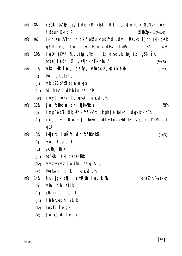| mRrj 8&          |       | ielkiol‰ gjsyh dejNB] ikjk] rhtk] tokjk] n'kgjk] NjNjk] nokjh]                                     |
|------------------|-------|----------------------------------------------------------------------------------------------------|
|                  |       | tBouh Okxw A<br>$\frac{1}{2}$ kbl pkj $\frac{1}{2}$ ( $\frac{1}{2}$ x4)                            |
| mRrj 9&          |       | Hkkjr eajk"Vii fr in dk fuokbu vuojkfrd, dy I Øe.kh; i) fr }kjk gkrk                               |
|                  |       | g& ftlex, d InL; IHkh mEehnokj dksviuk okV nsldrk gSA<br>₩                                         |
| mRrj 10&         |       | Ia pr jk "Val ak ds ik p LFkk; h I nL; dks oh Vks ikoj iklr g S & Ýka]: I]                         |
|                  |       | $f c N \mathfrak{u}$ ] $I \mathfrak{g} \mathfrak{p} r$ jkT; vefjdk rFkk phu A<br>$(\frac{1}{2}x6)$ |
| m $R$ rj 11 $\&$ |       | $y$ kdl Hkk InL; ds fy, $v$ fuok; $l$ ; kX; rk, a $x$<br>(1x3)                                     |
|                  | (i)   | Hkkjr dk ukxfjd                                                                                    |
|                  | (ii)  | vk; q25 o"kl I sde u gks                                                                           |
|                  | (iii) | fdIh Hkh I jdkjh in eau gks                                                                        |
|                  | (iv)  | $ikxy$ fnokfy; k u gks A $\frac{1}{2}$ dkbl rhu $\frac{1}{2}$                                      |
| m $R$ rj 12 $\&$ |       | Je folkktu dh ifjlkk"kk, a<br>1/31/2                                                               |
|                  | (i)   | its pieu% ^dk; kidk fof k"Vhdj.k gh Je follkktu dgykrk gSA                                         |
|                  | (ii)  | its, p., y. gill u & Je follkktu dk vFkl vkfFkd fø; kvka dk fof k "Vhdj. k                         |
|                  |       | gSA                                                                                                |
| m $R$ rj 13 $\&$ |       | Hkkjrh; linner dh fo'kskrk%R<br>(1x3)                                                              |
|                  | (i)   | vudrkes, drk                                                                                       |
|                  | (ii)  | /ketuji {krk                                                                                       |
|                  | (iii) | fofHkUu idkj ds os kHkttkk                                                                         |
|                  | (iv)  | ∨yx&∨yx [kkuiku ,oajgu&lgu                                                                         |
|                  | (v)   | $Hkkkkyd$ , drk $Vdkblrhu%$                                                                        |
| m $R$ rj 14 $\&$ |       | tulą[k of) IsmRiUu leL;k %R<br>$\frac{1}{2}$ /dkbl rhu $\frac{1}{2}$ (1x3)                         |
|                  | (i)   | $vkol$ dh $lel; k$                                                                                 |
|                  | (ii)  | jkstxkj dh lel; k                                                                                  |
|                  | (iii) | I a k/kuka dh I eL; k                                                                              |
|                  | (iv)  | $LokLF;$ $le$ $el;$ $k$                                                                            |

[kk|kUu dh l eL; k  $(v)$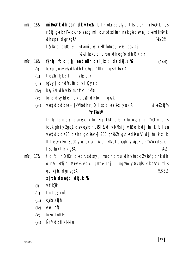millet on the corr of the VFM & follow of the stript of the stript of the millet of the millet of the must mRri 15& r skj gkrk r Fkk oklro esog ml olrgdsdher nrk gksdsvrj dksmittkk Drk dh cpr darsaid 凋 \$2½ Will mi; kx rFkk fofue; eW; eavri I S kird egko &  $W2$ % lkekftd thou dh eq $R$ o dh  $0$ ; k[; k]

 $m$ Rrj 16 $\&$ f} $r h$ ; fo'o ;  $\phi$  entell ds ijkt; ds dkj.k  $\Re$  $(1x4)$ 

- fc:Vsu, oavefick ch I kefigd 'kfDr I n < + gksuk A  $(i)$
- teluh }kjk : I ij vkØe.k  $(ii)$
- fgVyj dh dWuhfrd vl Qyrk  $(iii)$
- $b$ **X** $\vee$ SM clh  $\vee$ KS---fuo**S'** kd 'kfDr  $(iv)$
- fo'o dsykder dk teluh dk fo: ) gkuk  $(v)$
- vefjdk dk fe= jk"Vksdh rjQ  $1 s$ ;  $\hat{y}$  ealkkx yuk A Volkbl pkj 1/2  $(vi)$

#### $M$ Fkok $*$

f}rh; fo'o ; ù ds nk\$ku 7 fn I Ecj 1941 dks tkiku us ; ù dh ?kk\$k.kk fd; s fcuk gh i yl gcl ds vejhdh uks I fud vMMs i j vkØe.k dj fn; k] ft l ea vefidk ds 20 tach taktka vkj 250 gokbi taktka dks u "V di fn; k x; k ftleayxHkx 3000 ykx ekjsx, A bl ?kVuk dksgh i ylgc] dh ?kVuk dsuke I s tkuk tkrk gSA 1/41/2

 $m$ Rrj 17 $\&$ tc fdl h 0; fDr dks thus ds fy, mudh thou dh vfuok; l vko'; drk dh olr& jkVh diMk vk\$ edku U; wre Lrj ij ughamiyC/k gksikrk g\$rc ml s ge xilc dgrsg&A 凋\$3½

# $x$ jhch ds  $eq$ ; dkj.k  $%$

- $\vee$ f'k{kk  $(i)$
- tul  $[i; k$  of)  $(ii)$
- cjkst xkjh  $(iii)$
- $e \mathbf{W}$ ; of)  $(iv)$
- fuEu LokLF;  $(v)$
- Nf<sup>"</sup>k dk fi NM<del>k</del>i u  $(vi)$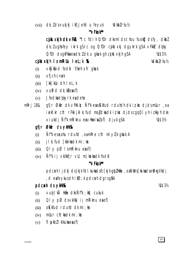#### $dk; l$  ds vuot ki ikfj Jehd u fe yuk  $\frac{1}{2}$   $\frac{1}{2}$   $\frac{1}{2}$   $\frac{1}{2}$   $\frac{1}{2}$   $\frac{1}{2}$   $\frac{1}{2}$   $\frac{1}{2}$   $\frac{1}{2}$   $\frac{1}{2}$  $(vii)$

### "VFkok\*\*

cikt xkih dk vFkR <sup>~</sup>tc fdl h 0; fDr dks ml ds thou fuokg ds fy, dkbl dk; lugha fey ikrk g\$rc og 0; fDr cjkstxkj dgykrk g\$A vFkkr dqky  $0$ ; fDr cls qkFkka ea clk;  $l$  clk u qkuk qh cs kst xkjh qSA M\$3½

# cjkst xkjh IsmRiUu I eL; k %R

 $\frac{1}{2}$   $\frac{1}{2}$   $\frac{1}{2}$   $\frac{1}{2}$   $\frac{1}{2}$   $\frac{1}{2}$   $\frac{1}{2}$   $\frac{1}{2}$   $\frac{1}{2}$   $\frac{1}{2}$ 

- vkS| kfxd fodk| f/keh xfr gkuk  $(i)$
- $x$ fjch c $\lt$ uk  $(ii)$
- [kk|kUu dh leL;k  $(iii)$
- $(iv)$  vufird dk; k  $\ell$ ea of)
- Jfedka dokyrk ea deha  $(v)$
- gfjr Økir dk vfilkik; Ñf'k ea okkfud rduldh dk izkx djdsmlur, oa mRri 18& iekf.kr cht rFkk jkl k; fud mojdkadk iz kx djds cgq QI yh iz kkyh dks viukdj Ñfk mRiknu eavHkriplof) djuk q\$A M\$3½

# afir Øldir ds yldtk&

- Nif'lk esauohu rduhd, oamRre cht mi yC/k gkuk A  $(i)$
- j I k; fud [kknka dk mi ; kx  $(ii)$
- $QI \vee pQ$  IsmRiknuesof)  $(iii)$
- Ñf'k ij vk/kkfjr vll; m | kxka dk fodkl  $(iv)$

### "VFkok\*\*

pdcmh I jdkj ds}kjk fdI kukadsfc[kjh gb]Hkfie, oaNkVs[krkadseM+gVkdj , deafeykus dhif $\varnothing$ ; k pdcnh dgrsg $\delta A$ 

# pdcnh ds yklk%&

凋 \$ 3½

- vui tkå Hkie dks Ñf'k; kk; cukuk  $(i)$
- $QI \vee pQ$  ds vk/kkj i j mRiknu ea of)  $(ii)$
- $o$ Kkfud rduhd dk mi; kx  $(iii)$
- mUur chtkadk mi; kx  $(iv)$
- fl  $pkbl$  |  $k/ku$ ka ea of  $)$  $(v)$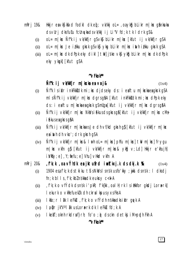- mRri 19& Hkkjr e $\alpha$ vks kfxd fodkl dk ef; vk/kkj oL=, o $\alpha$ yks bLikr m kx g $\delta$ nkuka ds vurj dks fu Eu fcunyka ds vk/kkj i j Li "V fd; k tk I drk q\$&
	- $ol = m$ |kx Ñf'k ij vk/kkfjr q $s$ vk $s$  blikr m|kx [kfut ij vk/kkfjr q $s$ A  $(i)$
	- $ol = m$ | kx Je i/kku gkrk g $s \vee k\overline{s}$  ykg blikr m| kx inthi/kku gkrk g $sA$  $(ii)$
	- $ol = m$ | kx dk dPpk eky dikl | tw| jske vk $\mathfrak s$  yk $\mathfrak s$  blikr m| kx dk dPpk  $(iii)$ eky ykokl [kfut qSA

#### "VFkok\*\*

# Ñf'k ij vk/kkfjr m|kxka ea vrj&

 $(1x4)$ 

- Ñf'k I siklr inkFkk $\overline{s}$ dk mi; kx djdseky ds: i eaftu m|kxkaeagkrk qSA  $(i)$ mlsÑfkij vk/kkfjr m|kx dgrsg&A [kfut inkFkkzdk mi; kx dPpk eky ds: i eaftu m | kska ea gkrk gSmUga [kfut ij vk/kkfjr m | ks dgrsgåA
- Ñf'k ij vk/kkfjr m | kx Nkk/s i £kus ds gkrs gå [kfut ij vk/kkfjr m | kx cMs  $(ii)$ *i* fekus ea akrs af A
- Ñf'k ij vk/kkfjr m|kskaesJe dh vf/kd gkrh q} [kfut ij vk/kkfjr m|ks  $(iii)$ eainth dh vko'; drk gkrh gSA
- $\tilde{N}$ f'k ij vk/kkfjr m|kx& lurh oL= m|kx| phfu m|kx| tw m|kx| frygu  $(iv)$ m|kx vkfn g} [kfut ij vk/kkfjr m|kx& ykg v; Ld] Hkkjr e'khujh]  $i$  Wits  $y$ ; e],  $Y$ ; fiefu; e] Vhu] vHkd vkfn A
- f'k; k, oa výhdk ea jktufrd iwtkxj. k ds dkj. k %  $m$ Rrj 20 $8$  $(1x4)$ 
	- 1904 esq f'k; k ds tki ku t'l s NkVs I snsk usfo'kky; jiki dsnsk: I dksdj  $(i)$  $fn; k bl Is, f'k; kbZ$  ns kka dk eukcy c<  $k A$
	- , f'k; k o vfÝdk dsnsk i 'pkR; f'k{kk, oal H; rk l sillkkfor gkdj Lorærk]  $(ii)$ I ekurk o vkRefueklk dh ckral kpus yxs Fks A
	- Ikfo; r I ak I eFkLu, f'k; k o vfÝdh nskka dksiklr gyvk A  $(iii)$
	- la pr jk"Valâk us Lora=rk dk leFkLu fd; k A  $(iv)$
	- $\blacksquare$  kekt; oknh rkdraf}rh; fo'o ;  $\phi$  dsckn detkj iM+pph Fkh A  $(v)$

"VFkok\*\*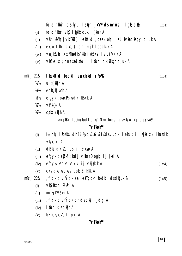fo'o 'kkafr ds fy,  $l$ a  $\mathbf{D}$ r jk" $V$ ' ds mn $\mathbf{D}$ s;  $l$  qk; d% $\mathbf{C}$  $(1x4)$ 

- fo'o 'kkár vk§ loj{kk cuk, j[kuk A  $(i)$
- vUrik'Vh; | vkfFkd| I kekftd, oaekuoh; I eL; kvkadks gy djuk A  $(ii)$
- ekuo tkfr dks; ) dh [krjk I scpkuk A  $(iii)$
- $\forall$ rik $\forall$ h; >xMkadks'kkariwk $\ell$ <x IsfuiVkik A  $(iv)$
- vkØe.kdkjh nskkadsfo: ) I sud dk; bkgh djuk A  $(v)$

#### $mRri$  21& I kekftd fodkl en ck/kd r ko%k

- u'kk[kk**j**h A 1⁄411⁄2
- $W_2$ eukQk [kkj h A
- efgyk, oacPpkadk 'kksk.k A  $1/31/2$
- $Vf'$ k{kk A  $1/5!/2$
- 1/61/2 cjkst xkjh A

VmijkDr fcUnykadko.ku Nk= food dsvk/kkjijdjaksA1/2

### "VFkok\*\*

- Hkkjrh; I fo/kku dh 16 ¼ d½ 16 ½ 1½ dsvuq kj l eku : i l sjkstxkj i kusdk  $(i)$ vf/kdkj A
- dBkj dk; ldjusij ifrc# A  $(ii)$
- efgyk debkfi; kaij vHknz 0; ogki ij jkd A  $(iii)$
- efgykykadksjkstxkj i jvkj{k.k A  $(iv)$  $(1x4)$
- ckfydkvka dks vfuok; I f'k{kk A  $(v)$
- , f'k; k o vfÝdk eal kekT; okn fodkl ds dkj. k & m $R$ rj 22 $\&$  $(1x5)$ 
	- vkS| kfxd Økfir A  $(i)$
	- mxz jk"Vokn A  $(ii)$
	- fk;kovfÝdk dh detkj ljdkj A  $(iii)$
	- I fud detkjh A  $(iv)$
	- bl kbl/keldk ipkj A  $(v)$

### "VFkok"

 $(1x4)$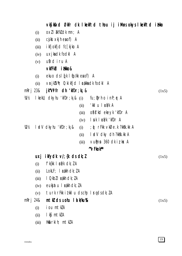|                  |       | vkS kfxd Økfr dk Ikekftd thou ij iM-usokys Ikekftd illkko                                                                      |       |
|------------------|-------|--------------------------------------------------------------------------------------------------------------------------------|-------|
|                  | (i)   | $ox11$ $x \times 10$ at mn; A                                                                                                  |       |
|                  | (ii)  | cjkst xkjh ea of) A                                                                                                            |       |
|                  | (iii) | ikfjokfjd fc[kjko A                                                                                                            |       |
|                  | (iv)  | uxjkadk fodkl A                                                                                                                |       |
|                  | (v)   | ufrd iru A                                                                                                                     |       |
|                  |       | vkfFkb i tikko&                                                                                                                |       |
|                  | (i)   | ekuo $dsI(fk IfQ/kk eaof)$ A                                                                                                   |       |
|                  | (ii)  | $\forall$ <b>r</b> jk $\forall$ h; 0; ki kfjd 1 <b>c</b> akka dk fodkl A                                                       |       |
|                  |       | m $R$ rj 23 $\&$ jk "Viifr dh 'kf $Dr; k$ j &                                                                                  | (1x5) |
| 准½               |       | I kekU; cIkyhu 'kfDr; k; & $(i)$ fu; $\phi$ rh o in $P$ ; r A                                                                  |       |
|                  |       | 'kklu locá⁄k A<br>(ii)                                                                                                         |       |
|                  |       | ofis'td eteyt 'tipr A<br>(iii)                                                                                                 |       |
|                  |       | I suk I calk 'kfDr A<br>(iv)                                                                                                   |       |
| 121/2            |       | $\blacksquare$ ad $\vee$ clkyhu 'kf $Dr$ ; k <sub>i</sub> &<br>; @ rFkk vkØe.k ?kkšk.kk A<br>(i)                               |       |
|                  |       | I adV dky dh?kkšk.kk A<br>(ii)                                                                                                 |       |
|                  |       | $V$ uman 360 dk iz kx A<br>(iii)                                                                                               |       |
|                  |       | "VFkok**                                                                                                                       |       |
|                  | uxj   | $ikydk \vee k$ ; $\{k \cdot ds \cdot dk; l\}$                                                                                  | (1x5) |
|                  | (i)   | $f'$ k $\{kk \mid \pmb{\epsilon} \pmb{i}/k \text{ } \text{ } \text{ } \text{ } \text{ } \text{ } \text{ } \text{ } \text{ } k$ |       |
|                  | (ii)  | $LokLF;$ $Ladkh$ $dk; lA$                                                                                                      |       |
|                  | (iii) | I Qkbl I cákh dk; l A                                                                                                          |       |
|                  | (iv)  | eukjatu I cakh dk; IA                                                                                                          |       |
|                  | (v)   | turk rFkk itkkludschp I rqdsdk; IA                                                                                             |       |
| m $R$ rj 24 $\&$ |       | $m \, \text{t} \, \text{k}$ ds uohu $l \, \text{d} \, \text{k} \, \text{k}$ u $\text{t} \, \text{k}$                           | (1x5) |
|                  | (i)   | iou mtkA                                                                                                                       |       |
|                  | (ii)  | lk§mtklA                                                                                                                       |       |
|                  | (iii) | Hk&rkih mtkZA                                                                                                                  |       |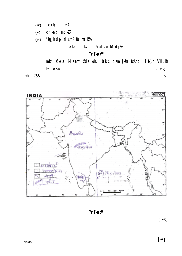- Tokjh; mtklA  $(iv)$
- $(v)$ ck; kekl mtkZA
- 'kgjh dpjslsmkillu mtkZA  $(vi)$

Wille mijkDr fcUnqdk o.ku djk

# "VFkok\*\*

mRrj Øekød 24 eamtkldsuohu I a k/ku dsmijkDr fcUnqij I a{kIr fVIi.kh fy[kasA  $(1x5)$ 

mRrj 25&

 $(1x5)$ 



"VFkok\*\*

 $(1x5)$ 

**20**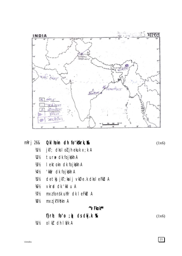

|        | $mRri$ 26& QkI hokn dh fo'kkirk, $Rk$                  | (1x6) |
|--------|--------------------------------------------------------|-------|
| 准½     | jk $T$ ; clks I o $\bm{l}$ jh ekuk $\bm{\times}$ ; k A |       |
| 1/21/2 | tur# dk fojkkh A                                       |       |
| 1/B1/2 | lektokn dk fojk&kh A                                   |       |
| 1/41/2 | 'kkár dk fojkskh A                                     |       |
| 1/5/2  | detkj jkT; kaij vkØe.k dksleFkLu A                     |       |
| 1/6!/2 | vkrad dk 'kkl u A                                      |       |
| $W\$   | mxz fonsk utfr dk lefkbl A                             |       |
| 1/8/2  | mxz jk"Vokn A                                          |       |
|        | "VFkok**                                               |       |
|        | f} $r$ h; fo'o ; o) ds dkj.k %Rx                       | (1x6) |

 $1/11/2$ olkł dh lá/k A

 $\boxed{21}$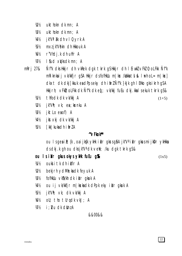- $1/21/2$ ukthokn dk mn; A
- ukthokn dk mn; A 1/R1/2
- jk"V1 ak dh vl Qyrk A 1/41/2
- mxz jk"Vokn dh Hkkouk A 1/51/2
- 1/61/2 r"Vhdi.k dh uhfr A
- I fud xWksdk mn; A  $W\$
- Ñf'k dks Hkkjr dh vkRek dgk tkrk g\$Hkkjr dh I EiwkZ vFkZ 0; oLFkk Ñf'k  $mRri$  27& mRiknkaij vk/kkfjr qSA Hkkjr dsfofHkUu m | kx /kakka tsl & I urh oL = m | kx] dkxt dk dkj [kkuk eadPpseky dh ifrz Ñf'k }kjk gh I EHko gks i krh g\$A Hkkjrh; vFkD; oLFkk dk Ñf"k dk eq: vk/kkj fuEu dkj. kka I sekuk tkrk gS&
	- thfodk dk vk/kkj A 1⁄41<sup>1</sup>/2
	- $jk''V'h$ ;  $\vee k$ ;  $ea$ ; kxnku A  $\mathcal{W}^{\prime\prime}$
	- jktLo eaof) A  $W_2$
	- ikstxki dk vk/kki A 1/41/2
	- [kk | kuka dh i fir Z A 炳

#### $\gamma$ Fkok\*\*

ou IsqeaiR; {k , oaijkgk ykHk ikIr gkrsgåA jk"Va ikIr gkusmijkDr ykHkka ds dkj. k gh ou dks jk"V<sup>a</sup> dk vell; /ku dgk tkrk g\$&

ou I s i kil r gkus okys yklik fu Eu g

 $(1x5)$ 

 $(1+5)$ 

- **狐** oukjitk dhikflr A
- bekj rh ydMh; ka dk feyuk A ₩
- 1/B1/2 fofHkUu vk\$k/kh dk ikir gkuk A
- 1/41/2 ou ij vk/kkfjr m|kskadk dPpk eky iklr gkuk A
- jk"Vh; vk; dk vk/kkj A  $1/5!/2$
- oli; tho tllrqdk  $v$ kJ; A 1/61/2
- i ; Nu dk donz A ₩½

#### &&00&&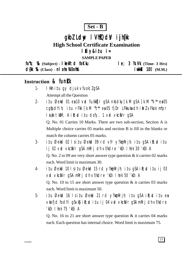$Set - B$ 

# gkbl Ldw I VhłOdy i jh(k

**High School Certificate Examination** 

# lfiy&itu i=

**SAMPLE PAPER** 

 $f_0$ "k;  $\%$  (Subject) - kelftd foKku  $le; 3$   $\mathcal{R}.\mathsf{W}$  (Time- 3 Hrs) d{kk %& (Class) - nl oha Xi0oh % **i** wkkid 100 (M.M.)

# Instruction & funk

- I Hkh itu gy djuk vfuok; lgSA  $1.$ Attempt all the Question
- itu Øekod 01 en 10 vod fu/kktjr gSA nksdky $\lceil k.M \rceil$ gSA  $\lceil k.M \rceil$ <sup>\*</sup> en 05  $2$ cqfodYih; itu rFkk [k.M "c\*\* ea 05 fjDr LFkkuka dh ifrl vFkok mfpr l cak tkm, A i R; cd i t u dsfy, 1 v cd vkciVr qSA

Q. No. 01 Carries 10 Marks. There are two sub-section, Section A is Multiple choice carries 05 marks and section B is fill in the blanks or match the column carries 05 marks.

- $3$ itu Øekod 02 lsitu Øekod 09 rd vfr y?konRrih; itu qSA iR; ditu ij 02 vrd vkciNr g\$A mRrj dh vf/kdre 'kCn I hek 30 'kCn A Q. No. 2 to 09 are very short answer type question  $&$  it carries 02 marks each. Word limit is maximum 30.
- itu Øekod 10 lsitu Øekod 15 rd y?komRrjh; itu q\$A iR; ditu ij 03  $\overline{4}$ vid vkci Vr gs Amri dh vf/kdre 'kin I hek 50 'kin A O. No. 10 to 15 are short answer type question  $\&$  it carries 03 marks each. Word limit is maximum 50.
- $5$ itu Øekod 16 Isitu Øekod 21 rd y?kon Rrjh; itu q\$A ik; ditu ea vkrfjd fod Yi q S v k \$ i R; sd i z u i j 04 v rd v k c i V r q S A m R r j dh v f/k d r e 'kCn I hek 75 'kCn A

Q. No. 16 to 21 are short answer type question  $\&$  it carries 04 marks each. Each question has internal choice. Word limit is maximum 75.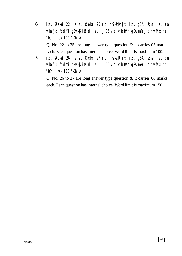- 6- iz'u Øekad 22 ls iz'u Øekad 25 rd nh?k $m$ Rrjh; iz'u gSA i $\mathbb{R}$ ; diziu esa vkarfjd fod Yigs vk $\mathfrak{g}$  ik; ditu ij 05 vad vkca $V$ r g $S$  A mRrj dh vf/kdre 'kCn lhek 100 'kCn A Q. No. 22 to 25 are long answer type question & it carries 05 marks each. Each question has internal choice. Word limit is maximum 100.
- 7- i $i$ u Øekad 26 ls i $i$ u Øekad 27 rd nh?k $\delta$ mRrjh; i $i$ u gSA i $\mathbb{R}$ ;sd i $i$ u esa vkrfjd fodYi gSvk\$ ik; ditu ij 06 vrd vkcaVr gSA mRrj dh vf/kdre 'kCn lhek 150 'kCn A

Q. No. 26 to 27 are long answer type question & it carries 06 marks each. Each question has internal choice. Word limit is maximum 150.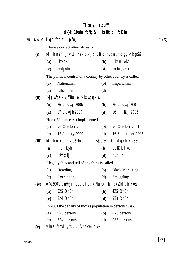# $M$  iiy iiu\*\*

# d{kk 10oh] fo"k; & I kekftd foKku

| $i\ell$ u 1&¼ $\nu$ % I gh fodYi píqu, |  |  |  |  | (1x5) |
|----------------------------------------|--|--|--|--|-------|
|----------------------------------------|--|--|--|--|-------|

Choose correct alternatives :-

## **(i)** fdlh ns'k ij vU; ns'k dk jktuSfrd fu;a=.k dgykrk gS &

- **(a)** jk"Vªokn **(b)** lkezkT;okn
- **(c)** mnkjokn **(d)** mifuos'kokn

The political control of a country by other country is called.

| (a) | Nationalism | (b) | Imperialism |
|-----|-------------|-----|-------------|
|-----|-------------|-----|-------------|

(c) Liberalism (d)

# **(ii)** ?kjsyw fgalk vf/kfu;e ykxw gqvk &

| (a) 26 $\vee$ DV $\mathfrak{w}$ j 2006 | ( <b>b</b> ) 26 $\vee$ DV <b>r</b> j 2001 |
|----------------------------------------|-------------------------------------------|
| (c) $17 \text{ tuojh } 2009$           | ( <b>d</b> ) 16 fl r[cj 2005              |

Home Violance Act implimented on -.

| (a) | 26 October 2006                                               | (b) $26$ October 2001   |
|-----|---------------------------------------------------------------|-------------------------|
|     | (c) $17$ January 2009                                         | (d) $16$ September 2005 |
|     | $\gamma$ ii ii $\gamma$ iii $\gamma$ at $\gamma$ iii $\gamma$ |                         |

**(iii)** fdlh oLrq ;k voS/kkfud :i ls Ø;&foØ; dgykrk gS &

**(a)** tek[kksjh **(b)** equkQk [kksjh **(c)** Hkz"Vkpkj **(d)** rLdjh

Illegallyt buy and sell of any thing is called-.

| Hoarding<br>(a)<br>(b) | <b>Black Marketing</b> |
|------------------------|------------------------|
|------------------------|------------------------|

(c) Corruption (d) Smuggling

**(iv)** o"kZ 2001 eaHkkjr eatul  $\oint$ ;k ?kuRo ifr oxZ fd-eh- Fkk&

- **(a)** 925 O;fDr **(b)** 425 O;fDr
- **(c)** 324 O;fDr **(d)** 933 O;fDr

In 2001 the density of India's population in persons was-.

- (a) 925 persons (b) 425 persons
- (c) 324 persons (d) 933 persons
- (v) vkun feYd;fiu;u fyfeVM qS&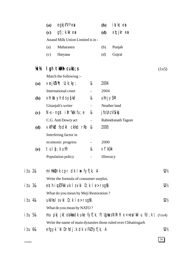|                 | egkjk"V <sup>a</sup> ea<br>(a)                                 |                          | (b)                     | i atkc ea                                                                     |       |
|-----------------|----------------------------------------------------------------|--------------------------|-------------------------|-------------------------------------------------------------------------------|-------|
|                 | $gfi$ ; k.kk ea<br>(c)                                         |                          | (d)                     | xqtjkrea                                                                      |       |
|                 | Anand Milk Union Limited is in -                               |                          |                         |                                                                               |       |
|                 | Maharastra<br>(a)                                              |                          | (b)                     | Punjab                                                                        |       |
|                 | Haryana<br>(c)                                                 |                          | (d)                     | Gujrat                                                                        |       |
| ΥCΥ             | $l$ gh tkMh cukb; s                                            |                          |                         |                                                                               | (1x5) |
|                 | Match the following :-                                         |                          |                         |                                                                               |       |
| (a)             | $\forall$ rjk $\forall$ h; U; k; k $\forall$ ;                 | &                        | 2004                    |                                                                               |       |
|                 | International court                                            | $\overline{\phantom{0}}$ | 2004                    |                                                                               |       |
| <b>(b)</b>      | $x$ hrkat yh ds ys $[k]$                                       | &                        | $uhnj$ $y\$             |                                                                               |       |
|                 | Gitanjali's writer                                             | ۰.                       |                         | Neather land                                                                  |       |
| (c)             | $N-x$ - ngst if r "kk fu; e                                    | &                        | j follnz V <b>\$</b> kj |                                                                               |       |
|                 | C.G. Anti Dowry act                                            | $\overline{\phantom{0}}$ |                         | Rabindranath Tagore                                                           |       |
| (d)             | vkfFkd fodkl ck/kd rRo &                                       |                          | 2000                    |                                                                               |       |
|                 | Interfering factor in                                          |                          |                         |                                                                               |       |
|                 | ecomonic progress                                              | -                        | 2000                    |                                                                               |       |
| <b>(e)</b>      | tul $\mathfrak{f}$ ; k uhfr                                    | &                        | $\vee$ f'k{kk           |                                                                               |       |
|                 | Population policy                                              |                          | illiteracy              |                                                                               |       |
| i <i>t</i> u 2& | miHkk $D$ rk cpr dk I $#$ fyf[k, A                             |                          |                         |                                                                               | ₩     |
|                 | Write the formula of consumer surplus.                         |                          |                         |                                                                               |       |
| itu 3&          | esthiquLFkkiuk Isvki D; k le>rsg $\delta \setminus$            |                          |                         |                                                                               | ₩     |
|                 | What do you mean by Meji Restoration?                          |                          |                         |                                                                               |       |
| itu 4&          | $ukV$ ks I s $v$ ki D; k I e $>$ rs g $\delta \setminus$       |                          |                         |                                                                               | ₩     |
|                 | What do you mean by NATO?                                      |                          |                         |                                                                               |       |
| i <i>t</i> u 5& |                                                                |                          |                         | mu pkj jktodkkadk uke fyf[k, ftllgkusNRrhl $x < +e$ a'kkl u fd; k \ $(1/2x4)$ |       |
|                 | Write the name of main dynasties those ruled over Chhattisgarh |                          |                         |                                                                               |       |
| i <i>t</i> u 6& | efgyk 'kl Drhdj.k dk vFkIfyf[k, A                              |                          |                         |                                                                               | 121/2 |

26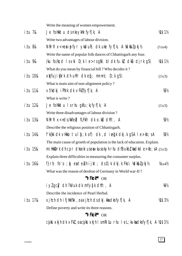|                  | Write the meaning of women empowerment.                                                                 |                            |
|------------------|---------------------------------------------------------------------------------------------------------|----------------------------|
| i <i>t</i> u 7&  | Je follkktu dsnksyklik fyf[k, A                                                                         | 凋\$1½                      |
|                  | Write two advantages of labour division.                                                                |                            |
| i <i>t</i> u 8&  | NRrhl $x$ <+esipfyr ykdu $R$ ; dk uke fyf[k, A ½dkblpkj½                                                | $(\frac{1}{2}x^4)$         |
|                  | Write the name of popular folk dances of Chhattisgarh any four.                                         |                            |
| i <i>t</i> u 9&  | /ku fo/k; d l s vki D; k l e>rsg $\delta \setminus$ bl dk fu.kł dk $\delta$ u djrk g $\delta \setminus$ | <b>VAS1½</b>               |
|                  | What do you mean by financial bill? Who decides it?                                                     |                            |
| i <i>t</i> u 10& | $x\psi$ fuji $\{krk$ dh uhfr dk e $[$ ; mnns; D;k g $S\setminus$                                        | (1x3)                      |
|                  | What is main aim of non-alignment policy?                                                               |                            |
| i <i>t</i> u 11& | vf/kdkj iPNk dk vFkIfyf[k, A                                                                            | 1/B1/2                     |
|                  | What is write?                                                                                          |                            |
| i <i>t</i> u 12& | Je follkktu I srhu gkfu; kj fyf[k, A                                                                    | (1x3)                      |
|                  | Write three disadvantages of labour division?                                                           |                            |
| i <i>t</i> u 13& | NRrhl x<+ds/kkfed fLFkfr dk o.ku dhft, A                                                                | 1/B1/2                     |
|                  | Describe the religious position of Chhattisgarh.                                                        |                            |
| i <i>t</i> u 14& | $f'$ k{kk dk vHkko tul $f$ ; k of) dk, d i eq[k dkj k g\$A l e > kb; sA                                 | 1/81/2                     |
|                  | The main cause of groeth of population is the lack of education. Explain.                               |                            |
| itu 15&          | milikk $\text{Drk}$ dh cpr dkseki useavkusokyh rhu dfBukbł, kadksl e>kb; sA $(1x3)$                     |                            |
|                  | Explain three difficulties in measuring the consumer surplus.                                           |                            |
| i <i>t</i> u 16& | f}rh; fo'o ; $\hat{\phi}$ eateluh ijkt; clsD;k clkj.k Fks\ ¼clkblpkj½                                   | $\frac{1}{4}x4\frac{1}{2}$ |
|                  | What was the reason of deofeat of Germany in World war-II?                                              |                            |
|                  | "VFkok** OR                                                                                             |                            |
|                  | iylgcly dh ?kVuk dk mYy{k dhft, A                                                                       | V4½                        |
|                  | Describe the incidence of Pearl Herbal.                                                                 |                            |
| i <i>t</i> u 17& | xjhch dh ifjHkk"kk , oaxjhch ds dkj.kka dksfyf[k, A                                                     | M\$3½                      |
|                  | Define poverty and write its three reasons.                                                             |                            |
|                  | "VFkok** OR                                                                                             |                            |
|                  | cjkst xkjh dk vFkl , oacjkst xkjh I smRi Uu rhu I eL; kvka dksfyf[k, A ¼1\$3½                           |                            |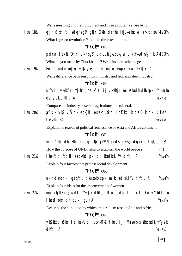|                  | Write meaning of umemployment and three problems arose by it.                                                                                |                            |  |  |  |  |  |  |
|------------------|----------------------------------------------------------------------------------------------------------------------------------------------|----------------------------|--|--|--|--|--|--|
| itu 18&          | gfjr Økiir fdl sdgrsgil\gfjr Økiir dsrhu i fj.kkekadksle>kb; sA ¼1\$3½                                                                       |                            |  |  |  |  |  |  |
|                  | What is green revolution ? explain three result of it.                                                                                       |                            |  |  |  |  |  |  |
|                  | "VFkok** OR                                                                                                                                  |                            |  |  |  |  |  |  |
|                  | pdcmh I svki D; k I e>rsg\$\pdcmh gkwsokysrhu ykHkkadksfyf[k, A¼1 \$3½                                                                       |                            |  |  |  |  |  |  |
|                  | What do you mean by Chuckbandi? Write its three advantages.                                                                                  |                            |  |  |  |  |  |  |
| i <i>t</i> u 19& | Hkkjr eaoL= m k× ∨k§ yk&g bLikr m k× eapkj vrj fyf[k, A                                                                                      |                            |  |  |  |  |  |  |
|                  | Write difference between cotton industry and Iron and steel industry.                                                                        |                            |  |  |  |  |  |  |
|                  | "VFkok** OR                                                                                                                                  |                            |  |  |  |  |  |  |
|                  | Ñf"k ij vk/kkfjr m ksc , oa [kfut ij vk/kkfjr m kscka ch clkbl pkj fcUnq/ka                                                                  |                            |  |  |  |  |  |  |
|                  | earguk dhft, A                                                                                                                               | $\frac{1}{4}x4\frac{1}{2}$ |  |  |  |  |  |  |
|                  | Compare the industry based on agriculture and mineral.                                                                                       |                            |  |  |  |  |  |  |
| i <i>t</i> u 20& | $\mathfrak{g}$ f'k; k vk $\mathfrak{g}$ vfÝdk egk}hi es $\mathfrak{g}$ ktu $\mathfrak{g}$ rd i $\mathfrak{g}$ ltkxj.k ds D; k dkj.k Fks \    |                            |  |  |  |  |  |  |
|                  | $le$ -kb; sA                                                                                                                                 | $\frac{1}{4}x4\frac{1}{2}$ |  |  |  |  |  |  |
|                  | Explain the reason of political renaissance of Asia and Africa continent.                                                                    |                            |  |  |  |  |  |  |
|                  | "VFkok** OR                                                                                                                                  |                            |  |  |  |  |  |  |
|                  | fo'o 'kkir dh LFkki uk grql a $\mathbb{p}$ r jk"V <sup>a</sup> l $\mathbb{R}$ k dsmnns; dgk <sub>i</sub> rd I gk; d g $\mathbb{S} \setminus$ |                            |  |  |  |  |  |  |
|                  | How the porpose of UND helps to establish the world peace?                                                                                   | (4)                        |  |  |  |  |  |  |
| i <i>t</i> u 21& | I kekftd fodkl eack/kd pkj dkj.kkadksLi"V dhft, A                                                                                            | $\frac{1}{4}x4\frac{1}{2}$ |  |  |  |  |  |  |
|                  | Explain four factors that protest social development.                                                                                        |                            |  |  |  |  |  |  |
|                  | "VFkok** OR                                                                                                                                  |                            |  |  |  |  |  |  |
|                  | ukjh dsfodkl grqfd, tkusokyspkj mik;kadksLi"V dhft, A                                                                                        | $\frac{1}{4}x4\frac{1}{2}$ |  |  |  |  |  |  |
|                  | Explain four ideas for the improvement of women.                                                                                             |                            |  |  |  |  |  |  |
| i <i>t</i> u 22& | mu ifjfLFkfr;kadk mYy{k dhft, ftudsdkj.k ,f'k;k rFkk vYhdk ea                                                                                |                            |  |  |  |  |  |  |
|                  | $l$ kekT; okn dk fodkl ga $\nu$ k A                                                                                                          | $\frac{1}{4} \times 5\%$   |  |  |  |  |  |  |
|                  | Describe the condition by which imperialism rose in Asia and Africa.                                                                         |                            |  |  |  |  |  |  |
|                  | "VFkok** OR                                                                                                                                  |                            |  |  |  |  |  |  |
|                  | vKS  kfxd Økir I sl kekftd , oavkfFkd thou i j i M <del>u</del> sokysi ilkkokadk mYy{k                                                       |                            |  |  |  |  |  |  |
|                  | dhft, A                                                                                                                                      | $\frac{1}{4}x5\frac{1}{2}$ |  |  |  |  |  |  |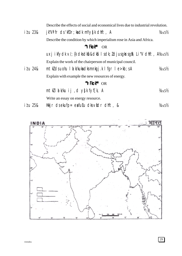|                  | Describe the effects of social and economical lives due to industrial revolution.                                               |                          |
|------------------|---------------------------------------------------------------------------------------------------------------------------------|--------------------------|
| i <i>t</i> u 23& | jk"Vifr ds'kfDr; kadk mYy{k dhft, A                                                                                             | $\frac{1}{4} \times 5\%$ |
|                  | Describe the condition by which imperialism rose in Asia and Africa.                                                            |                          |
|                  | "V <b>Fkok</b> " OR                                                                                                             |                          |
|                  | $uxj$ ikfydk $v'$ ; {k dksdk $\Omega$ k $\Omega$ k $\Omega$ l sdk; <i>l</i> djusgk $rsg\Omega$ Li "V dhft, $A\omega_{x5}\Omega$ |                          |
|                  | Explain the work of the chairperson of municipal council.                                                                       |                          |
| itu 24&          | $m$ t $k$ dsuohu 1 a k/kukadksmnkgj.k 1 fgr 1 e>kb; sA                                                                          | $\frac{1}{4} \times 5\%$ |
|                  | Explain with example the new resources of energy.                                                                               |                          |
|                  | "VFkok** OR                                                                                                                     |                          |
|                  | mtklikku ij dysk fyf[k, A                                                                                                       | $\frac{1}{4} \times 5\%$ |
|                  | Write an essay on energy resource.                                                                                              |                          |
|                  |                                                                                                                                 |                          |

itu 25& Hkkjr dsekufp= eafuEu dksvildr dhft, &  $\frac{1}{4} \times 5\%$ 

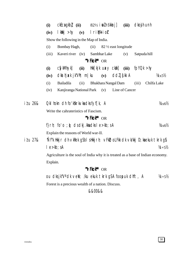| (i)   |                  |                          |              |                                                                                                                                                                          |                                                                                                                                                                                                                                                 | (iii)                                                                                           | dkojh unh                                                                                                                                                 |                                                                                                                                                                                                                                                                                |
|-------|------------------|--------------------------|--------------|--------------------------------------------------------------------------------------------------------------------------------------------------------------------------|-------------------------------------------------------------------------------------------------------------------------------------------------------------------------------------------------------------------------------------------------|-------------------------------------------------------------------------------------------------|-----------------------------------------------------------------------------------------------------------------------------------------------------------|--------------------------------------------------------------------------------------------------------------------------------------------------------------------------------------------------------------------------------------------------------------------------------|
| (iv)  |                  |                          |              |                                                                                                                                                                          |                                                                                                                                                                                                                                                 |                                                                                                 |                                                                                                                                                           |                                                                                                                                                                                                                                                                                |
|       |                  |                          |              |                                                                                                                                                                          |                                                                                                                                                                                                                                                 |                                                                                                 |                                                                                                                                                           |                                                                                                                                                                                                                                                                                |
| (i)   |                  |                          |              |                                                                                                                                                                          |                                                                                                                                                                                                                                                 |                                                                                                 |                                                                                                                                                           |                                                                                                                                                                                                                                                                                |
| (iii) |                  |                          |              |                                                                                                                                                                          |                                                                                                                                                                                                                                                 | (v)                                                                                             | Satpuda hill                                                                                                                                              |                                                                                                                                                                                                                                                                                |
|       |                  |                          |              |                                                                                                                                                                          |                                                                                                                                                                                                                                                 |                                                                                                 |                                                                                                                                                           |                                                                                                                                                                                                                                                                                |
| (i)   | <b>CSykMhykJ</b> |                          |              |                                                                                                                                                                          |                                                                                                                                                                                                                                                 |                                                                                                 | fpYQk > hy                                                                                                                                                |                                                                                                                                                                                                                                                                                |
| (iv)  |                  |                          |              |                                                                                                                                                                          |                                                                                                                                                                                                                                                 |                                                                                                 |                                                                                                                                                           | $\frac{1}{4} \times 5\%$                                                                                                                                                                                                                                                       |
| (i)   | Bailadila        | (ii)                     |              |                                                                                                                                                                          |                                                                                                                                                                                                                                                 |                                                                                                 | (iii)                                                                                                                                                     | Chilfa Lake                                                                                                                                                                                                                                                                    |
| (iv)  |                  |                          |              |                                                                                                                                                                          |                                                                                                                                                                                                                                                 |                                                                                                 |                                                                                                                                                           |                                                                                                                                                                                                                                                                                |
|       |                  |                          |              |                                                                                                                                                                          |                                                                                                                                                                                                                                                 |                                                                                                 |                                                                                                                                                           |                                                                                                                                                                                                                                                                                |
|       |                  |                          |              |                                                                                                                                                                          |                                                                                                                                                                                                                                                 |                                                                                                 |                                                                                                                                                           | $\frac{1}{4} \times 6\%$                                                                                                                                                                                                                                                       |
|       |                  |                          |              |                                                                                                                                                                          |                                                                                                                                                                                                                                                 |                                                                                                 |                                                                                                                                                           |                                                                                                                                                                                                                                                                                |
|       |                  |                          |              |                                                                                                                                                                          |                                                                                                                                                                                                                                                 |                                                                                                 |                                                                                                                                                           |                                                                                                                                                                                                                                                                                |
|       |                  |                          |              |                                                                                                                                                                          |                                                                                                                                                                                                                                                 |                                                                                                 |                                                                                                                                                           | $\frac{1}{4}x_6\frac{1}{2}$                                                                                                                                                                                                                                                    |
|       |                  |                          |              |                                                                                                                                                                          |                                                                                                                                                                                                                                                 |                                                                                                 |                                                                                                                                                           |                                                                                                                                                                                                                                                                                |
|       |                  |                          |              |                                                                                                                                                                          |                                                                                                                                                                                                                                                 |                                                                                                 |                                                                                                                                                           |                                                                                                                                                                                                                                                                                |
|       |                  |                          |              |                                                                                                                                                                          |                                                                                                                                                                                                                                                 |                                                                                                 |                                                                                                                                                           | $1/4 + 5/2$                                                                                                                                                                                                                                                                    |
|       |                  |                          |              |                                                                                                                                                                          |                                                                                                                                                                                                                                                 |                                                                                                 |                                                                                                                                                           |                                                                                                                                                                                                                                                                                |
|       |                  |                          |              |                                                                                                                                                                          |                                                                                                                                                                                                                                                 |                                                                                                 |                                                                                                                                                           |                                                                                                                                                                                                                                                                                |
|       |                  |                          |              |                                                                                                                                                                          |                                                                                                                                                                                                                                                 |                                                                                                 |                                                                                                                                                           |                                                                                                                                                                                                                                                                                |
|       |                  |                          |              |                                                                                                                                                                          |                                                                                                                                                                                                                                                 |                                                                                                 |                                                                                                                                                           | $\frac{1}{4} + 5\frac{1}{2}$                                                                                                                                                                                                                                                   |
|       |                  |                          |              |                                                                                                                                                                          |                                                                                                                                                                                                                                                 |                                                                                                 |                                                                                                                                                           |                                                                                                                                                                                                                                                                                |
|       |                  | $le$ -kb; sA<br>Explain. | Bombay Hagh, | $\mathsf{R}\mathsf{H}$ k $\mathsf{H}\mathsf{H}$ $\mathsf{H}\mathsf{H}$ $\mathsf{H}\mathsf{H}$ $\mathsf{H}\mathsf{H}$ $\mathsf{H}\mathsf{H}$<br>Kaveri river (iv)<br>(ii) | lriMkio <i>r</i><br>Show the following in the Map of India.<br>(ii)<br>"VFkok** OR<br>Okl hokn dh fo'kskrk $\vee$ ka dks fyf[k, A<br>Write the cahrateristics of Fascism.<br>"VFkok** OR<br>Explain the reasons of World war-II.<br>"VFkok** OR | Sambhar Lake<br>Kanjiranga National Park (v)<br>$f$ } $r$ h; fo'o ; $\phi$ dsdkj.kkadksle>kb;sA | $ckEca gkb$ (ii) $82\frac{1}{2}$ i old n s kkr j ]<br>$Hkk[kjk uaxy ckk]$ (iii)<br>$dk$ athjak jk Vh; m ku (v) ddl j $\{kk \mid A$<br>Bhakhara Nangal Dam | 82 1/2 east longitude<br>Line of Cancer<br>"Nf"k Hkkjr dh vkRek gSbI sHkkjrh; vFkD; oLFkk dk vk/kkj D; kaekuk tkrk g\$<br>Agriculture is the soul of India why it is treated as a base of Indian economy.<br>ou dksjk"V <sup>a</sup> dk vell; /ku ekuk tkrk gSA foopuk dhft, A |

&&00&&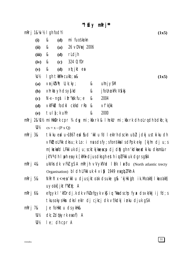$M$  Eise mori\*\*

|                        |                                                | "I EI $\vee$ mkr j |                                                                                                 |
|------------------------|------------------------------------------------|--------------------|-------------------------------------------------------------------------------------------------|
| $mRrj$ 1&\%   gh fodYi |                                                |                    | (1x5)                                                                                           |
| (i)                    | &<br>(d)                                       | mi fuoskokn        |                                                                                                 |
| (ii)                   | &<br>(a)                                       | 26 vDVrgj 2006     |                                                                                                 |
| (iii)                  | &<br>rldjh<br>(d)                              |                    |                                                                                                 |
| (iv)                   | &<br>(c)                                       | 3240; fDr          |                                                                                                 |
| (v)                    | &<br>(d)                                       | xqtjkt ea          |                                                                                                 |
| ΥC½                    | $l$ gh tkMh cukb; $88$                         |                    | (1x5)                                                                                           |
| (a)                    | $\forall$ rjk $\forall$ h; U; k; k $\forall$ ; | &                  | $u$ hnj $y$ SM                                                                                  |
| (b)                    | xhrkat yh ds y{kd                              | &                  | j follnukFk V\$kij                                                                              |
| (c)                    | $N-x$ - ngst if r "kk fu; e                    | &                  | 2004                                                                                            |
| (d)                    | vkfFkd fodkl ck/kd rRo                         | &                  | $\vee$ f' k{kk                                                                                  |
| (e)                    | tul $f$ ; k uhfr                               | &                  | 2000                                                                                            |
| $m$ Rrj 2& $M\%$       |                                                |                    | millkkDrk cpr 34 dqy mi; kfxrk & I hekUr mi; kfxrk dh oLrqdh bdkb; kj                           |
| 1/21/2                 | $cs = x - (P x Q)$                             |                    |                                                                                                 |
| mRrj 3&                |                                                |                    | tkiku eal u~1867 eal fud 'kkl u fd I ekirh dsckn ubll jdkj ustkiku dh                           |
|                        |                                                |                    | $\vee$ FkD; oLFkk dks $u$ ; k Lo: i nusdsfy; sfonskkalsdPpk eky [kjhn dj u; s                   |
|                        |                                                |                    | m   kxkafd LFkki uk dj u; scktkjkaeacp dj dN gh n'kdkaeatki ku dksmllur                         |
|                        |                                                |                    | jk"V <sup>a</sup> dh I yoh ea yk [kMk djus dks gh esth i wLFkki uk dgrs gâ A                    |
| mRrj 4&                |                                                |                    | ukVks dk $\vee$ Fkl gs A mRrjh $\vee$ VykfVkd $\vdash$ k/k $\vdash$ axBu (North atlantic trecty |
|                        |                                                |                    | Organisation) bl dh LFkki uk 4 vi & 1949 eagbl Fkh A                                            |
| mRrj 5&                |                                                |                    | NRrhl x<+ea'kkl u djusjktoak dsuke g& 'kjHkigh; ik.Moakh] I keoakh]                             |
|                        | $uv$ odk] jktf"k $r$ or; A                     |                    |                                                                                                 |
| mRrj 6&                |                                                |                    | efgyk I 'kfDrdj.k dk vFklefgyk vkj i q "kkadschp fyx dsvk/kkj i j fd; s                         |
|                        |                                                |                    |                                                                                                 |

tkus okys Hkn dks I eklr dj cjkcj dk vf/kdkj inku djuk gSA

- mRrj 7& Je follkktu ds yklk&
	- dk; ldqkyrk eaof) A  $1/1/2$
	- $1/2/2$ I e; dh cpr A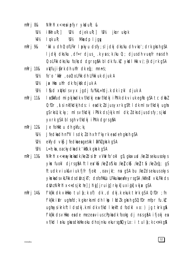- mRri 8& NRrhl  $x < +e$ a i pf $y$ r ykdur; &
	- $diek uR$ ;  $W8\%$ jkor ukpk  $i$   $\delta$ kh  $UR:$ ]  $Wh$ 211
	- $1/5!/2$ Mkedp ljgw  $1/41/2$  $I$  ok  $UR$ ;
- mRrj 9& 'kkl u dh 0; of LFkr I pokyu dsfy; sl jdkj dks/ku dh vko'; drk gkrh gSA l jdkj dks/ku, df=r djus\_k yus; k /ku 0; ; djusdh vunefr nusdh 0; olfkk dks/ku fo/ks d dgrs g $\delta A$  bl dk fu.k $\ell$  ykdl Hkk  $V$ ; {k djrk g $\delta A$
- $x\psi$ fujisk rk dh uhfr dk eq; mnns; mRri 10&
	- fo'o 'kkar , oa 0; oLFkk dh LFkki uk djuk A 1⁄41<sup>1</sup>/2
	- jak Hkn uhfr dk fojksk djuk A  $\mathcal{W}_2$
	- I fud xwkslsvyx jgdj fu%kL=hdj.k dk izkl djuk A  $1/31/2$
- I pSkkfud mipkjkadk vf/kdkj eavf/kdkj iPNk dk viuk egRo gSA tc dkbl mRri 11& 0; fDr, d sinkf/kdkjh ds: i eadk; ldjusyxrk gSftldk ml svf/kdkj ugha  $g$ S rks U; k; ky; ml s vf/kdkj i PNk ds }kjk ml dk;  $l$  dks djus ds fy; s jkd yxrk q\$A bl sqh vf/kdkj iPNk darsq\$A
- mRrj 12& Je follktu dh qkfu; ki
	- Jfedkadh nf"V I sdk; I dh xfrf'kyrk eadeh gkrh gSA  $M\%$
	- ekfyd vkj Jfedka ea geskk i ak"klakrk gSA  $\mathcal{W}^{\prime\prime}$
	- $L=h$ ; ka , oa ck $\nabla$ dka dk 'kk $k$ k akst as A 1/B1/2
- NRrhl x<+enykskadk /ke/dsifr vVW fo'okl qs; qkavuxd /ke/dsekuusokys  $m$ Rri 13& ykx fuokl dirsg&Aftlea'k&u /keloS.ko /kelcks /kelt&u /keled; qs ftudk viuk&viuk fjfr fjokt, oavjk/; no gSA bu /keldsekuusokys ykskadsvkLFkk dsdbnzjkT; dsfofHkUu LFkkukaeafeyrsgSA /kkfed vkLFkk ds dinz NRrhl x<+dsjkthe] Jhiq] jruiq] rkyk] uxiqk] vkj& g\$A
- f'k{kk dk vkHkko tul $\xi$ ; k of) dk, d dkj.k ekuk tkrk gSA 0; fDr ; fn m $Rri$  14 $\&$ f'k{kk iklr ughafd; k gks rks ml dh l kp l fidlk gkrh gS0; fDr mfpr fu.kl ughaysikrk ftldsdkj.kmldk vf/kdlkekftdfodklvo: ) jg tkrk g & f'k{kk ds vHkko eade mezeavius cPpkadk fookg dj nrs gâ A ifjokj ea vf/kd I rku gkusdksHkxoku dh ojnku ekursg\$QyLo: i tul {; k c<Fk g\$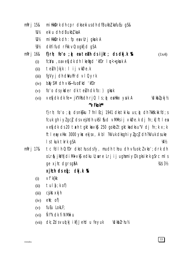#### mi HkkDrk dh cpr dks eki us dh dfBukbł, kafuEu gS& mRri 15&

- **狐** eki u dh dBukbl kaA
- millkk $D$ rk dh : fp ea vurj gkuk A  $\mathcal{W}^{\prime\prime}$
- dkYifud rFkk v0; ogkfjd gSA  $W_2$

#### $m$ Rrj 16 $\&$ f} $r h$ ; fo'o ;  $\phi$  entell ds ijkt; ds dkj.k  $\Re$  $(1x4)$

- fcNsu, oavefjdk dh I kefigd 'kfDr I n<+gkuk A  $(i)$
- teluh }kjk : I ij vkØe.k  $(ii)$
- fqVyj dh dWuhfrd vl Qyrk  $(iii)$
- $b\&v5M$  ch  $vK$ --fuot kd kfDr  $(iv)$
- fo'o ds ykder dk teluh dk fo: ) gkuk  $(v)$
- vefidk dk fe= jk"Vks dh rjQ  $1 s$ ;  $\hat{\theta}$  ealkkx yuk A Valkbl pkj 1/2  $(vi)$

#### "VFkok\*\*

f}rh; fo'o ;  $\hat{\phi}$  dsnk $\hat{\phi}$ ku 7 fnl Ecj 1941 dkstkiku us;  $\hat{\phi}$  dh ?kkkk.kk fd; s fcuk gh i yl gcl ds vejhdh uks I fud vMMs i j vkØe.k dj fn; k] ft l ea vefidk ds 20 tach taktka vkj 250 gokbi taktka dks u "V di fn; k x; k ftleayxHx 3000 ykx ekjsx, A bl ?kVuk dksghiyZgc7 dh ?kVuk dsuke I s tkuk tkrk gSA  $1/4/2$ 

tc fdl h 0; fDr dks thus ds fy, mudh thou dh vfuok; l vko'; drk dh mkri 17& olr& jkVh diMk vk\$ edku U; wre Lrj ij ughamiyC/k gksikrk g\$rc ml s ge xilc dgrsg&A 刈\$3½

### $x$ jhch ds  $eq$ ; dkj.k  $%$

- $\vee$ f'k{kk  $(i)$
- tul  $[i; k$  of)  $(ii)$
- cjkst xkjh  $(iii)$
- $e\mathbf{W}$ ; of)  $(iv)$
- fuEu LokLF;  $(v)$
- Ñf'k dk fi NMki u  $(vi)$
- dk; I dsvud kji kfjJehd u feyuk *Volkbl* rhul<sub>2</sub>  $(vii)$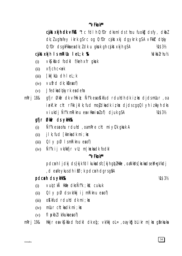### "VFkok\*\*

citation of the  $\mathbf{r}$  citation of the  $\mathbf{r}$  citation of the  $\mathbf{r}$  citation of  $\mathbf{r}$  citation of  $\mathbf{r}$ dk; lugha fey ikrk g\$rc og 0; fDr cjkstxkj dgykrk g\$A vFkkr d¢ky  $0$ ; fDr cls gkFkka ea clk;  $l$  clk u gkuk gh c skt xkjh g SA M\$3½

# cjkst xkjh Ism Rillu I eL; k % R

vkS| kfxd fodk| f/keh xfr gkuk  $(i)$ 

- $x$ fjch c $\lt$ uk  $(ii)$
- [kk|kUu dh leL;k  $(iii)$
- $(iv)$  vufrd dk;  $k$  export)
- Jfedka dokyrk ea deha  $(v)$
- gfjr Økir dk vfilkik; Ñf'k ea okkfud rduldh dk i t kx djdsmlur, oa mRri 18& iekf.kr cht rFkk jklk; fud mojdkadk iz kx djdscgqQl yh izkkyh dks viukdj Ñf'k mRiknu eavHkriwlof) djuk gSA 14 \$ 3 1/2

# afir Økir ds yklik%&

- Nif'lk esauohu rduhd, oamRre cht mi yC/k gkuk A  $(i)$
- j I k; fud [kknka dk mi ; kx  $(ii)$
- $QI \vee pQ$  I smile knu expof)  $(iii)$
- Ñfk ij vk/kkfir vll; m kxkadk fodkl  $(iv)$

# "VFkok\*\*

pdcmh I jdkj ds}kjk fdI kukadsfc[kjh gb]Hkfie, oaNkVs[krkadseM+gVkdj , d exfey kus dh if  $\emptyset$ ; k pd c nh d grs g  $\emptyset$  A

# pdcnh ds yklk%&

- vuoj tkå Hkine dks Nftk; kkk; cukuk  $(i)$
- $QI \vee pQ$  ds vk/kkj i j mRiknu ea of)  $(ii)$
- okkfud rduld dk mi; kx  $(iii)$
- muur cht $\mathsf{k}\mathsf{a}\mathsf{d}\mathsf{k}\mathsf{m}\mathsf{i}$ ; k $\mathsf{x}\mathsf{x}$  $(iv)$
- f  $\mathsf{p}\times\mathsf{p}$  is  $\mathsf{p}\times\mathsf{p}\times\mathsf{p}$  if  $\mathsf{p}\times\mathsf{p}\times\mathsf{p}\times\mathsf{p}$  $(v)$
- Hkkjr e $\alpha \vee \beta$  ks a fodkl dk eq.  $\vee \kappa$ kkj ol = , oa $\vee \kappa$ kg blikr m | kx gankuka m $Rri$  19 $\&$

Volkblrhul<sub>2</sub>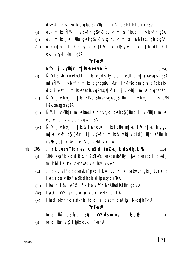ds vurj dks fu Eu fcuntur ka ds vk/kkjij Li "V fd; k tk I drk q S &

- oL= m|kx Ñf"k ij vk/kkfjr gS vk\$ bLikr m|kx [kfut ij vk/kkfjr gSA  $(i)$
- $ol = m$ | kx Je i/kku gkrk g $s \vee k\overline{s}$  ykg blikr m| kx inthi/kku gkrk g $sA$  $(ii)$
- $ol = m$ | kx dk dPpk eky dikl | tw| jske vk $\mathfrak s$  yk $\mathfrak s$  blikr m| kx dk dPpk  $(iii)$ eky ykok [kfut qSA

#### "VFkok\*\*

## Ñf'k ij vk/kkfjr m|kxka ea vrj&

 $(i)$ 

- Ñf'k I siklr inkFkk $3$ dk mi; kx djdseky ds: i eaftu m|kxkaeagkrk qSA mls Ñf'k ij vk/kkfjr m|kx dgrsg&A [kfut inkFkkzdk mi; kx dPpk eky ds: i eaftu m | kxka ea gkrk q\$mUqa [kfut ij vk/kkfjr m | kx dgrsqâA
- Ñf'k ij vk/kkfjr m | kx NkVs i £kus ds gkrs qå [kfut ij vk/kkfjr m | kx cMs  $(ii)$ i fekus en gkrs gfi A
- Ñf'k ij vk/kkfjr m|kskaesJe dh vf/kd gkrh q} [kfut ij vk/kkfjr m|ks  $(iii)$ eainth dh vko'; drk gkrh gSA
- $\tilde{N}$ f'k ij vk/kkfjr m|kx& lurh oL= m|kx| phfu m|kx| tw m|kx| frygu  $(iv)$ m | kx vkfn q} [kfut ij vk/kkfjr m | kx& ykĝ v; Ld] Hkkjr e khujh] i Vkfy; e], Y; fiefu; e] Vhu] vHkd vkfn A
- $f(k; k, oa \vee Yhck$ ea jktufrd iw $dt$ ki, k ds dkj.k  $R$  $m$ Rri 20 $\&$  $(1x4)$ 
	- 1904 esafk; k ds thi ku ti s NkVs I snsk usfolkky; jiki dsnsk: I dksdj  $(i)$  $fn; k bl I s, f'k; kbZ nskka dk eukcyc c< k A$
	- , f'k; k o vfÝdk dsnsk i 'pkR; f'k{kk, oal H; rk l sillkkfor gkdj Lor#rk]  $(ii)$ I ekurk o vkRefueklk dh ckral kpus yxs Fks A
	- Ikfo; r I & I eFku, f'k; k o vfÝdh n'skka dksiklr gyvk A  $(iii)$
	- la pr jk"Valâk us Lora=rk dk leFkLu fd; k A  $(iv)$
	- I kekT; oknh rkdraf}rh; fo'o ; p dsckn detkj i M+pph Fkh A  $(v)$ "VFkok\*\*

#### fo'o 'kkafr ds fy,  $l$ a Dr jk" $V$ <sup>2</sup> ds mnms;  $l$  gk; d% as  $(1x4)$

fo'o 'kkár  $\vee$ k§ l  $\mathfrak{q}$ {kk cuk, j[kuk A  $(i)$ 

 $(1x4)$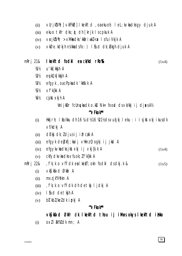- vUrik'Vh; vkfFkd| lkekftd, oaekuoh; leL; kvkadksgy djuk A  $(ii)$
- ekuo tkfr dks; p dh [krjk | scpkuk A  $(iii)$
- $\forall$ rjk $\forall$ h; >xMkadks 'kkáriwk $\angle$ ax | sfui $\forall$ kjk A  $(iv)$
- vkØe.kdkjh nskkadsfo: ) I sud dk; bkgh djuk A  $(v)$

#### I kekftd fodkl en ck/kd r ko%k  $mRri$  21&

- u'kk[kk**j**h A 1⁄41<sup>1</sup>/2
- $W_2$ eykQk[kkjh A
- efgyk, oacPpkadk 'kksk.k A  $W_2$
- 炳  $Vf'$ k{kk A
- cjkst xkjh A 1/61/2

VmijkDr fcUnykadko.ku Nk= food dsvk/kkj ij djaksA1/2

#### $M$ Fkok $*$

- Hkkirh; I to/kku dh 16 %, dh 16 %21% dsvud kj l eku : i l sjkst $x$ kj i kusdk  $(i)$ vf/kdkj A
- dBkj dk; ldjusij ifrcak A  $(ii)$
- efgyk debkfi; kaij vHknz 0; ogkj ij jkd A  $(iii)$
- efgykvka dks jkst xkj i j vkj  $\{k,k \}$  $(iv)$  $(1x4)$
- ckfydkyka dks yfuok; I f'k{kk A  $(v)$
- f'k; k o vfÝdk eal kekT; okn fodkl dsdkj.k &  $m$ Rrj 22 $\&$  $(1x5)$ 
	- vkS| kfxd Økfir A  $(i)$
	- mxz jk"Vokn A  $(ii)$
	- , f'k; k o vfÝdk dh detkj ljdkj A  $(iii)$
	- I fud detkjh A  $(iv)$
	- bl kbl/keldk ipkj A  $(v)$

#### "VFkok\*\*

#### vkS kfxd Økfr dk I kekftd thou ij i Musokys I kekftd i ilkko

 $ox11$   $x \times 10$  at mn; A  $(i)$ 

 $(1x4)$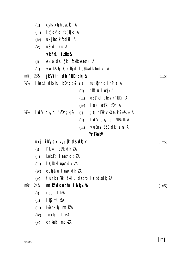|                  | (ii)  | $c$ <i>j</i> kst $x$ kjh $e$ <b>a</b> of $)$ A                           |       |                                         |       |
|------------------|-------|--------------------------------------------------------------------------|-------|-----------------------------------------|-------|
|                  | (iii) | ikfjokfjd fc[kjko A                                                      |       |                                         |       |
|                  | (iv)  | uxjkadk fodkl A                                                          |       |                                         |       |
|                  | (v)   | ufrd iru A                                                               |       |                                         |       |
|                  |       | vkfFkb i tikko&                                                          |       |                                         |       |
|                  | (i)   | ekuo ds $I(f \mid f \circ f)$ kk e $I(f)$ A                              |       |                                         |       |
|                  | (ii)  | $\forall$ <b>r</b> jk $\forall$ h; 0; ki kfjd 1 <b>c</b> akka dk fodkl A |       |                                         |       |
| m $R$ rj 23 $\&$ |       | jk"Vifr dh 'kfDr;k <sub>i</sub> &                                        |       |                                         | (1x5) |
| 准½               |       | I kekU; $dkyhu'kfDr; ki & (i)$                                           |       | $fu$ ; $Qrh$ o $i$ $nP$ ; $q\uparrow A$ |       |
|                  |       |                                                                          | (ii)  | 'kklu locá⁄k A                          |       |
|                  |       |                                                                          | (iii) | ofis'ld eleyl 'lifDr A                  |       |
|                  |       |                                                                          | (iv)  | I suk I calk 'kfDr A                    |       |
| ₩                |       | $\blacksquare$ ad $\vee$ clkyhu 'kf $Dr$ ; k <sub>i</sub> &              | (i)   | ; @ rFkk vkØe.k ?kkšk.kk A              |       |
|                  |       |                                                                          | (ii)  | I adV dky dh?kkšk.kk A                  |       |
|                  |       |                                                                          | (iii) | $V$ umen 360 dk i z kx A                |       |
|                  |       |                                                                          |       | "VFkok**                                |       |
|                  | uxj   | $ikydk \vee k$ ; $\{k \in S \}$                                          |       |                                         | (1x5) |
|                  | (i)   | f'k{kk   $\epsilon$ á/k dk; $l$ A                                        |       |                                         |       |
|                  | (ii)  | $LokLF$ ; $Lakh$ dk; $lA$                                                |       |                                         |       |
|                  | (iii) | I Qkbl I cakh dk; l A                                                    |       |                                         |       |
|                  | (iv)  | eukjatu I cakh dk; IA                                                    |       |                                         |       |
|                  | (v)   | turk rFkk i tkkl u dschp I rqdsdk; lA                                    |       |                                         |       |
| m $R$ rj 24 $\&$ |       | $m \, \text{t} \, \text{k}$ ds uohu 1 d k/ku%                            |       |                                         | (1x5) |
|                  | (i)   | iou mtkA                                                                 |       |                                         |       |
|                  | (ii)  | lk§mtklA                                                                 |       |                                         |       |
|                  | (iii) | Hk $\&$ rkih; mtk $\&$ A                                                 |       |                                         |       |
|                  | (iv)  | Tokjh; mtklA                                                             |       |                                         |       |
|                  | (v)   | ck; kekl mtkZA                                                           |       |                                         |       |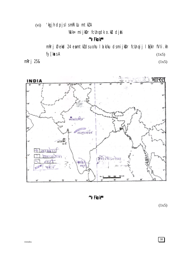'kgjh dpjslsmkillu mtklA  $(vi)$ 

Wik= mijkDr fcUnqdk o.ku djik

"VFkok\*\*

mRrj Øekød 24 eamtkldsuohu I a k/ku dsmijkDr fcUnqij I a{kIr fVIi.kh fy[kasA  $(1x5)$ 

 $(1x5)$ 

mRrj 25&



"VFkok\*\*

 $(1x5)$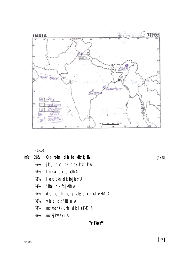

 $(1x5)$ 

2

mRrj 26& Okl hokn dh fo'k'krk, &&

 $(1x6)$ 

- tur# dk fojkkh A  $1/21/2$
- I ektokn dk fojkkh A  $1/3/2$
- 'kkár dk fojkskh A  $1/41/2$
- detkj jkT; kaij vkØe.k dksleFkU A  $1/5!/2$

jkT; dks I oli jh ekuk x; k A

- vkrad dk 'kkl u A  $1/6!/2$
- mxzfonsk uhfr dk I eFkbl A  $W_2$
- mxzjk"Vokn A  $18\%$

"VFkok\*\*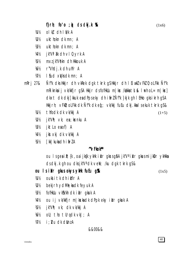f} $r h$ ; fo'o ;  $\phi$  ds dkj.k %

- $ol \, k$   $clh \, l \, k/k$  A  $M\%$
- $W_2$  $ukthokn$  dk mn; A
- ukthokn dk mn; A  $W_2$
- 1/41/2 jk"V1 ak dh vl Qvrk A
- mxz jk"Vokn dh Hkkouk A 炳
- 1/61/2 r"Vhdi.k dh uhfr A
- $W_2$ I fud xwksdk mn; A
- Nisk dks Hikir dh vkRek dgk tkrk gs Hikir dh I Eiwkl vFkl 0; oLFkk Nisk m $Rri$  27 $\&$ mRiknkaij vk/kkfjr gSA Hkkjr dsfofHkUu m | kx /kakka tsl & I urh oL= m | kx] dkxt dk dkj [kkuk eadPpseky dh ifrz Ñf'k }kjk gh I EHko gks i krh g\$A Hkkjrh;  $\vee$ FkD; oLFkk dk Ñf'k dk eq;  $\vee$ k/kkj fuEu dkj.kkal sekuk tkrk qS&
	- thfodk dk vk/kkj A 1⁄41<sup>1</sup>/2
	- jk"Vh: vk: ea kxnku A  $\mathcal{W}^{\prime\prime}$
	- iktLo eaof) A  $1/31/2$
	- $1/41/2$ jkstxkj dk vk/kkj A
	- $1/5!/2$  $[kk]$  kuka dh i fir $lA$

#### "VFkok\*\*

ou Isgeailt; {k , oa i jkgk ykHk i klr gkrsgâ Ajk"Va i klr gkusmi jkDr ykHkka ds dkj.k gh ou dksjk"V<sup>a</sup> dk vell; /ku dgk tkrk g\$&

ou I s i kil r gkus okys ykik fuEu g Sk

 $(1x5)$ 

 $(1+5)$ 

- $M\%$ ouks i the dh i kflr A
- $\mathcal{W}^{\prime\prime}$ bekj rh ydMh; ka dk feyuk A
- fofHkUu vk\$k/kh dk ikir gkuk A 1/B1/2
- ou ij vk/kkfjr m|kskadk dPpk eky iklr gkuk A V4½
- jk"Vħ; ∨k; dk ∨k/kkj A Љ½
- 1/61/2 oli; tho tllrqdk  $v$ kJ; A
- ₩½ *i*: *Nu* dk dinz A

#### &&00&&

 $(1x6)$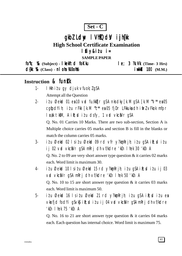

# gkbl Ldw I VhłOdy i jh(k

**High School Certificate Examination** 

# lfiy&itu i=

**SAMPLE PAPER** 

 $f_0$ "k;  $\%$  (Subject) - kelftd foKku  $le; 3$   $\mathcal{R}.\mathsf{W}$  (Time- 3 Hrs) d{kk %& (Class) - nl oha Xi0oh % **i** wkkid 100 (M.M.)

# Instruction & funk

- I Hkh itu gy djuk vfuok; lgSA  $1.$ Attempt all the Question
- itu Øekod 01 en 10 vod fu/kktjr gSA nksdky $\lceil k.M \rceil$ gSA  $\lceil k.M \rceil$ <sup>\*</sup> en 05  $2$ cgtjodYih; itu rFkk [k.M "c\*\* ea 05 fjDr LFkkuka dh itirl vFkok mfpr l cak tkm, A i R; cd i t u dsfy, 1 v cd vkciVr qSA

Q. No. 01 Carries 10 Marks. There are two sub-section, Section A is Multiple choice carries 05 marks and section B is fill in the blanks or match the column carries 05 marks.

- $3$ itu Øekod 02 lsitu Øekod 09 rd vfr y?konRrih; itu qSA iR; ditu ij 02 vrd vkciNr g\$A mRrj dh vf/kdre 'kCn I hek 30 'kCn A Q. No. 2 to 09 are very short answer type question  $&$  it carries 02 marks each. Word limit is maximum 30.
- itu Øekod 10 lsitu Øekod 15 rd y?komRrjh; itu q\$A iR; ditu ij 03  $\overline{4}$ vid vkci Vr gs Amri dh vf/kdre 'kin I hek 50 'kin A O. No. 10 to 15 are short answer type question  $\&$  it carries 03 marks each. Word limit is maximum 50.
- $5$ itu Øekod 16 Isitu Øekod 21 rd y?kon Rrjh; itu q\$A ik; ditu ea vkrfjd fod Yi q S v k \$ i R; sd i z u i j 04 v rd v k c i V r q S A m R r j dh v f/k d r e 'kCn I hek 75 'kCn A

Q. No. 16 to 21 are short answer type question  $\&$  it carries 04 marks each. Each question has internal choice. Word limit is maximum 75.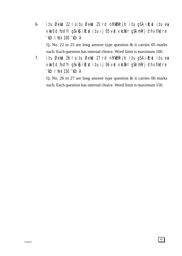- 6- iz'u Øekad 22 ls iz'u Øekad 25 rd nh?k $m$ Rrjh; iz'u gSA i $\mathbb{R}$ ; diziu esa vkarfjd fod Yigs vk $\mathfrak{g}$  ik; ditu ij 05 vad vkca $V$ r g $S$  A mRrj dh vf/kdre 'kCn lhek 100 'kCn A Q. No. 22 to 25 are long answer type question & it carries 05 marks each. Each question has internal choice. Word limit is maximum 100.
- 7- i $i$ u Øekad 26 ls i $i$ u Øekad 27 rd nh?k $\delta$ mRrjh; i $i$ u gSA i $\mathbb{R}$ ;sd i $i$ u esa vkrfjd fodYi gSvk\$ ik; ditu ij 06 vrd vkcaVr gSA mRrj dh vf/kdre 'kCn lhek 150 'kCn A

Q. No. 26 to 27 are long answer type question & it carries 06 marks each. Each question has internal choice. Word limit is maximum 150.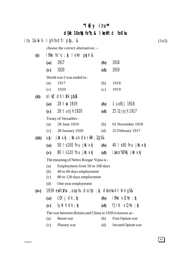# ^^lsEiy iz'u\*\* ^^lsEiy d{kk 10oh] fo"k; & I kekftd foKku

|       |                  | itu 1&¼√½ I gh fodYi ptju, &                                       |              |                             | (1x5) |
|-------|------------------|--------------------------------------------------------------------|--------------|-----------------------------|-------|
|       |                  | choose the correct alternatives :-                                 |              |                             |       |
| (i)   |                  | ifke fo'o ; $\hat{\phi}$ lekir guyk &                              |              |                             |       |
|       | (a)              | 1917                                                               | <b>(b)</b>   | 1918                        |       |
|       | (c)              | 1920                                                               | (d)          | 1919                        |       |
|       |                  | World war-I was ended in -                                         |              |                             |       |
|       | (a)              | 1917                                                               | (b)          | 1918                        |       |
|       | (c)              | 1920                                                               | (c)          | 1919                        |       |
| (ii)  | ol $\mathcal{R}$ | ch I il/k glop&                                                    |              |                             |       |
|       | (a)              | 28 tw 1919                                                         | <b>(b)</b>   | 1 uoEcj 1918                |       |
|       | (c)              | 28 tuojh 1920                                                      | (d)          | 25 Qjojh 1917               |       |
|       |                  | Treaty of Versailles -                                             |              |                             |       |
|       | (a)              | 28 June 1919                                                       | (b)          | 01 November 1918            |       |
|       | (c)              | 28 January 1920                                                    | (d)          | 25 February 1917            |       |
| (iii) | UQ:              | jkstxkj ; kstuk dk rkRi; <i>l</i> gS&                              |              |                             |       |
|       | (a)              | $50$ I s 100 fnu jkst xkj                                          | <b>(b)</b>   | 40 ls60 fnu jkst xkj        |       |
|       | (c)              | 80 ls 120 fnu jkst xkj                                             | (d)          | i wis o"kl Hkj jkst xkj     |       |
|       |                  | The meaning of Nehru Rozgar Yojna is -                             |              |                             |       |
|       | (a)              | Employment from 50 to 100 days                                     |              |                             |       |
|       | (b)              | 40 to 60 days employment                                           |              |                             |       |
|       | (c)              | 80 to 120 days employment                                          |              |                             |       |
|       | (d)              | One year employment                                                |              |                             |       |
| (iv)  |                  | 1939 entic $N$ <b>u</b> , oa phu ds chp ; $\phi$ dks ekuk tkrk gS& |              |                             |       |
|       | (a)              | cDI j d $k : \phi$                                                 | <b>(b)</b>   | $i$ Fke $\vee$ Ohe ; $\phi$ |       |
|       | (c)              | $I$ ykl h dk; $\mathfrak{g}$                                       | ( <b>d</b> ) | f}rh; $vQhe$ ; $\phi$       |       |
|       |                  | The war between Britain and China in 1939 is known as -            |              |                             |       |
|       | (a)              | Buxer war                                                          | (b)          | First Opium war             |       |
|       | (c)              | Plassey war                                                        | (d)          | Second Opium war            |       |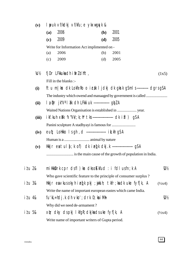| (v)             | I youk vf/kdkj vf/kfu; e ykxwgqvk &                                                                 |            |      |                    |  |  |  |  |
|-----------------|-----------------------------------------------------------------------------------------------------|------------|------|--------------------|--|--|--|--|
|                 | 2006<br>(a)                                                                                         | <b>(b)</b> | 2001 |                    |  |  |  |  |
|                 | 2009<br>(c)                                                                                         | (d)        | 2005 |                    |  |  |  |  |
|                 | Write for Information Act implimented on -                                                          |            |      |                    |  |  |  |  |
|                 | 2006<br>(a)                                                                                         | (b)        | 2001 |                    |  |  |  |  |
|                 | 2009<br>(c)                                                                                         | (d)        | 2005 |                    |  |  |  |  |
| KV <sub>2</sub> | $f$ j $Dr$ L $F$ kkuka dh i fir $l$ dhft,                                                           |            |      | (1x5)              |  |  |  |  |
|                 | Fill in the blanks :-                                                                               |            |      |                    |  |  |  |  |
| (i)             | ftu m   kx dk LokfeRo o i cak I j dkj dk gkrk g Sml s ----------- dgrsg SA                          |            |      |                    |  |  |  |  |
|                 |                                                                                                     |            |      |                    |  |  |  |  |
| (ii)            | 1 a pr jk"V"   ak ch LFkki uk ----------------- gbl A                                               |            |      |                    |  |  |  |  |
|                 | Waited Nations Organisation is established in  year.                                                |            |      |                    |  |  |  |  |
| (iii)           | ikf.kuh x上k √"Vk/;k;h* tks ----------------------- dk ifl ) gSA                                     |            |      |                    |  |  |  |  |
|                 |                                                                                                     |            |      |                    |  |  |  |  |
| (iv)            | eut; Lotkko Isgh, d -------------------- ik.kh gSA                                                  |            |      |                    |  |  |  |  |
|                 |                                                                                                     |            |      |                    |  |  |  |  |
| (v)             | Hkkjr eatul{;k of) dk ieq[k dkj.k ---------------------- g\$A                                       |            |      |                    |  |  |  |  |
|                 |                                                                                                     |            |      |                    |  |  |  |  |
| i <i>t</i> u 2& | millkk $D$ rk cpr dsfl) kr dkso $K$ kfud : i fdl usfn; k A                                          |            |      | V2V2               |  |  |  |  |
|                 | Who gave scientific feature to the principle of consumer surplus?                                   |            |      |                    |  |  |  |  |
| i <i>t</i> u 3& | Hkkjr eavkusokyhieq $\lfloor k \rfloor$ pkj ; $\psi$ ksih; tkfr; kadk uke fyf $\lfloor k \rfloor$ A |            |      | $(\frac{1}{2}x^4)$ |  |  |  |  |
|                 | Write the name of important european eastes which came India.                                       |            |      |                    |  |  |  |  |
| i <i>t</i> u 4& | $fu'$ k $L = hdj$ .k dh $vko'$ ; drk $D$ ; ka i Mh                                                  |            |      | $\mathcal{W}_2$    |  |  |  |  |
|                 | Why did we need de-armament?                                                                        |            |      |                    |  |  |  |  |
| i <i>t</i> u 5& | xir dky ds pkj I kfgR; dkjkads uke fyf[k, A                                                         |            |      | $(\frac{1}{2}x^4)$ |  |  |  |  |
|                 | Write name of important writers of Gupta period.                                                    |            |      |                    |  |  |  |  |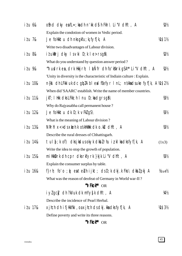| $i$ tu $68$       | ofind dky exile; kx dh n'kk di h Fkh \ Li "V dhft, A                          | $\mathcal{W}_2$            |
|-------------------|-------------------------------------------------------------------------------|----------------------------|
|                   | Explain the condotion of women in Vedic period.                               |                            |
| <i>itu 7&amp;</i> | Je follkktu dh nksgkfu; kj fyf[k, A                                           | <b>VAS1½</b>               |
|                   | Write two disadvantages of Labour division.                                   |                            |
| <i>it</i> u 8&    | iłukkrj dky Isvki D;k le>rsg&\                                                | $\mathcal{W}_2$            |
|                   | What do you understand by question answer period?                             |                            |
| itu 9&            | "Vurdrk en, drk Hkkjrh; I a Ñfr dh fo'kskrk gSA** Li "V dhft, A               | 1/21/2                     |
|                   | 'Unity in diversity is the characteristic of Indiain culture : Explain.       |                            |
| itu 10&           | n{k dh LFkki uk dc glplA bl esl fEefyr I nL; nskkadsuke fyf[k, A ¼\$2½        |                            |
|                   | When did 'SAARC' establish. Write the name of member countries.               |                            |
| <i>it</i> u 11&   | $j$ kT; I Hkk dks LFkk; h I nu D; ka dgrs g $\delta \setminus$                | $W_2$                      |
|                   | Why do Rajyasabha call permanent house?                                       |                            |
| itu 12&           | Je follktu dk $D$ ; k $\vee$ FkIgS                                            | $W_2$                      |
|                   | What is the meaning of Labour division?                                       |                            |
| itu 13&           | NRrhl $x$ < + cls $x$ keh. k os kHkilkk clk o. kLu cl hft, A                  | $W_2$                      |
|                   | Describe the rural dresses of Chhattisgarh.                                   |                            |
| i <i>t</i> u 14&  | tul $\{i : k \text{ of}\}$ clks jiksdus okyk clkbl rhu iz kl ka clks fyf[k, A | (1x3)                      |
|                   | Write the idea to stop the growth of population.                              |                            |
| <i>it</i> u 15&   | miHkkDrk dh cpr dksrkfyrk }kjk Li"V dhft, A                                   | 1/31/2                     |
|                   | Explain the consumer surplus by table.                                        |                            |
| i <i>t</i> u 16&  | f}rh; fo'o ; y eateluh ijkt; dsD; k dkj.k Fks\ dkblpkj A                      | $\frac{1}{4}x4\frac{1}{2}$ |
|                   | What was the reason of deofeat of Germany in World war-II?                    |                            |
|                   | "VFkok** OR                                                                   |                            |
|                   | iylgcly dh ?kVuk dk mYy{k dhft, A                                             | V4½                        |
|                   | Describe the incidence of Pearl Herbal.                                       |                            |
| i <i>t</i> u 17&  | xjhch dh ifjHkk"kk , oa xjhch ds dkj . kka dks fyf[k, A                       | M\$3½                      |
|                   | Define poverty and write its three reasons.                                   |                            |
|                   |                                                                               |                            |

"VFkok\*\* OR

45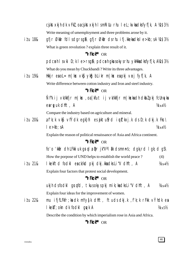cjkst xkjh dk vFkl, oacjkst xkjh I smRillu rhu I eL; kvkadksfyffk, A ¼\$3½ Write meaning of umemployment and three problems arose by it.

gfir Økir fdl sdgrsgi\gfir Økir dsrhu ifj.kkekadksle>kb; sA ¼\$3½ itu 18& What is green revolution? explain three result of it.

#### "VFkok\*\* OR

pdcmh I svki D; k I e>rsq\$\pdcmh qkusokysrhu ykHkkadksfyf[k, A¼1\$3½ What do you mean by Chuckbandi? Write its three advantages.

 $i$   $t$   $u$   $198$ Hkkir eaol = m | kx  $\vee$ ks  $\vee$ ks blikr m | kx eapki  $\vee$ ri f $\vee$ f | k, A Write difference between cotton industry and Iron and steel industry.

### "VFkok" OR

Ñf'k ij vk/kkfjr m|kx, oa [kfut ij vk/kkfjr m|kxkadh dkblpkj fcUnq/ka earty uk dhft, A  $\frac{1}{4}x4\frac{1}{2}$ 

Compare the industry based on agriculture and mineral.

afk; k vk\$ vfÝdk egk}hi es iktufrd i utkxj.k ds D; k dkj.k Fks \  $i$   $t$   $u$   $20$ &  $le$   $\ge$ kb: sA  $\frac{1}{4}x4\frac{1}{2}$ 

Explain the reason of political renaissance of Asia and Africa continent.

#### "VFkok\*\* OR

fo'o 'kkir dh LFkki uk qrql a  $\mathfrak{p}$ r jk"Val  $\mathfrak{R}$  dsmnns; dqk; rd l qk; d q $\mathfrak{S} \setminus$ How the porpose of UND helps to establish the world peace?  $(4)$ 

 $i$   $t$   $u$   $218$ I kelftd fodkl eack/kd pkj dkj.kkadksLi"V dhft, A  $\frac{1}{4}x4\frac{1}{2}$ Explain four factors that protest social development.

# "VFkok\*\* OR

ukjh dsfodkl grafd, tkusokyspkj mik; kadksli "V dhft, A  $\frac{1}{4}x4\frac{1}{2}$ Explain four ideas for the improvement of women.

mu ifjfLFkfr; ka dk mYy{k dhft, ftuds dkj.k, f'k; k rFkk vÝhdk ea i*t* u 22& I kekT; okn dk fodkl gryk A  $\frac{1}{4} \times 5\%$ Describe the condition by which imperialism rose in Asia and Africa.

### "VFkok\*\* OR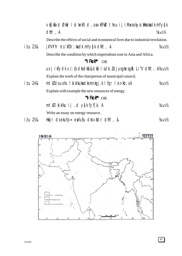|              | vKS  kfxd Økfir I sl kekftd , oavkfFkd thou i j i Musokysi Hkkokadk mYy{k                                                |                           |  |  |  |  |
|--------------|--------------------------------------------------------------------------------------------------------------------------|---------------------------|--|--|--|--|
|              | dhft, A                                                                                                                  | $\frac{1}{4}x\frac{5}{2}$ |  |  |  |  |
|              | Describe the effects of social and economical lives due to industrial revolution.                                        |                           |  |  |  |  |
| $i$ tu $238$ | $j$ k"Vi fr ds 'kf $Dr$ ; kadk mYy $\{k$ dhft, A                                                                         | $\frac{1}{4} \times 5\%$  |  |  |  |  |
|              | Describe the condition by which imperialism rose in Asia and Africa.                                                     |                           |  |  |  |  |
|              | "VFkok" OR                                                                                                               |                           |  |  |  |  |
|              | $uxj$ ikfydk $v'$ ; {k dksdk $\Omega$ k $\Omega$ k $i$ l sdk; <i>l</i> djusgk $rsg\Omega$ Li "V dhft, $A\Delta x5\Omega$ |                           |  |  |  |  |
|              | Explain the work of the chairperson of municipal council.                                                                |                           |  |  |  |  |
| itu 24&      | $m$ t $k$ dsuohu 1 a k/kukadksmnkgj.k 1 fgr 1 e>kb; sA                                                                   | $\frac{1}{4} \times 5\%$  |  |  |  |  |
|              | Explain with example the new resources of energy.                                                                        |                           |  |  |  |  |
|              | "VFkok** OR                                                                                                              |                           |  |  |  |  |
|              | mtklikku ij dysk fyf[k, A                                                                                                | $\frac{1}{4} \times 5\%$  |  |  |  |  |

Write an essay on energy resource.

 $i$  *t* u 25& Hkkjr dsekufp= eafuEu dksviidr dhft, &  $\frac{1}{4}x5\frac{1}{2}$ 

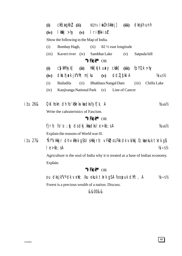|                  | (i)                                                                                         | $ckEca gkb$ (ii) $82\frac{1}{2}$ i ol ns kkr j]                              |      |             |                           |                                   |                | (iii) clkojh unh |             |                             |
|------------------|---------------------------------------------------------------------------------------------|------------------------------------------------------------------------------|------|-------------|---------------------------|-----------------------------------|----------------|------------------|-------------|-----------------------------|
|                  | (iv)                                                                                        | Ikkakj>hy (v) Iri≬Mk-io7r                                                    |      |             |                           |                                   |                |                  |             |                             |
|                  |                                                                                             | Show the following in the Map of India.                                      |      |             |                           |                                   |                |                  |             |                             |
|                  | (i)                                                                                         | Bombay Hagh,                                                                 |      | (ii)        |                           | $82\frac{1}{2}$ east longitude    |                |                  |             |                             |
|                  | (iii)                                                                                       | Kaveri river (iv)                                                            |      |             | Sambhar Lake              |                                   | (v)            | Satpuda hill     |             |                             |
|                  |                                                                                             |                                                                              |      | "VFkok** OR |                           |                                   |                |                  |             |                             |
|                  | (i)                                                                                         | <b>CSykMhykl</b>                                                             | (ii) |             | $Hkk[kjk uaxy ckk]$ (iii) |                                   |                | fpYQk >hy        |             |                             |
|                  | (iv)                                                                                        | $dkathj xk jk''Vh; m ku (v) ddlj{k}k A$                                      |      |             |                           |                                   |                |                  |             | $\frac{1}{4} \times 5\%$    |
|                  | (i)                                                                                         | <b>Bailadila</b>                                                             | (ii) |             | Bhakhara Nangal Dam       |                                   |                | (iii)            | Chilfa Lake |                             |
|                  | (iv)                                                                                        | Kanjiranga National Park (v)                                                 |      |             |                           |                                   | Line of Cancer |                  |             |                             |
|                  |                                                                                             |                                                                              |      |             |                           |                                   |                |                  |             |                             |
| i <i>t</i> u 26& |                                                                                             | Okl hokn dh fo'kskrk $\vee$ ka dks fyf[k, A                                  |      |             |                           |                                   |                |                  |             | $\frac{1}{4}x_6\frac{1}{2}$ |
|                  | Write the cahrateristics of Fascism.                                                        |                                                                              |      |             |                           |                                   |                |                  |             |                             |
| "VFkok** OR      |                                                                                             |                                                                              |      |             |                           |                                   |                |                  |             |                             |
|                  | f}rh; fo'o; $\phi$ dsdkj.kkadksle>kb;sA                                                     |                                                                              |      |             |                           | $\frac{1}{4} \times 6\frac{1}{2}$ |                |                  |             |                             |
|                  |                                                                                             | Explain the reasons of World war-II.                                         |      |             |                           |                                   |                |                  |             |                             |
| i <i>t</i> u 27& |                                                                                             | "Nf"k Hkkjr dh vkRek g\$bl sHkkjrh; vFkD; oLFkk dk vk/kkj D; kaekuk tkrk g\$ |      |             |                           |                                   |                |                  |             |                             |
|                  |                                                                                             | $le$ $\ge$ kb; sA                                                            |      |             |                           |                                   |                |                  |             | $1/4 + 5/2$                 |
|                  |                                                                                             |                                                                              |      |             |                           |                                   |                |                  |             |                             |
|                  | Agriculture is the soul of India why it is treated as a base of Indian economy.<br>Explain. |                                                                              |      |             |                           |                                   |                |                  |             |                             |
| "VFkok** OR      |                                                                                             |                                                                              |      |             |                           |                                   |                |                  |             |                             |
|                  |                                                                                             | ou dksjk"V <sup>a</sup> dk vell; /ku ekuk tkrk g\$A foopuk dhft, A           |      |             |                           |                                   |                |                  |             | $\frac{1}{4} + 5\%$         |
|                  |                                                                                             | Forest is a precious wealth of a nation. Discuss.                            |      |             |                           |                                   |                |                  |             |                             |

&&00&&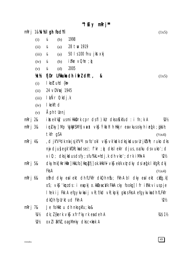"Ifiy mRrj\*\*

|         | $mRrj$ 1& $Mb$ d gh fod Yi |                 |                                 |                                                                                                              | (1x5)              |
|---------|----------------------------|-----------------|---------------------------------|--------------------------------------------------------------------------------------------------------------|--------------------|
|         | (i)                        | &               | (b)                             | 1998                                                                                                         |                    |
|         | (ii)                       | &               | (a)                             | 28 tw 1919                                                                                                   |                    |
|         | (iii)                      | &               | (a)                             | 50   s 100 fnu jkst xkj                                                                                      |                    |
|         | (iv)                       | &               | (b)                             | $i$ Fike $\vee$ Ohe ; $\phi$                                                                                 |                    |
|         | (v)                        | &               | (d)                             | 2005                                                                                                         |                    |
|         | KCY2                       |                 |                                 | fj Dr LFkkuka dh i firl dhft,<br>&                                                                           | (1x5)              |
|         | (i)                        |                 | $\blacksquare$ kolt uhd $\{k\}$ |                                                                                                              |                    |
|         | (ii)                       |                 | 24 vDVrg 1945                   |                                                                                                              |                    |
|         | (iii)                      |                 | $l$ $\lambda$ Nr $0$ ; kdj.k    |                                                                                                              |                    |
|         | (iv)                       | <b>I</b> kekftd |                                 |                                                                                                              |                    |
|         | (v)                        |                 | Aph tlenj                       |                                                                                                              |                    |
| mRrj 2& |                            |                 |                                 | its ek'ky usmittkkDrk cpr dsfl) kUr dksoKkfud : i fn; k A                                                    | V2V2               |
| mRrj 3& |                            |                 |                                 | i (ricky) Mp ½gkWySM½) vaxst vk\$ Ýkal hl h Hkkjr ea vkus okyh i eq[k ; qjksi h;                             |                    |
|         |                            | tkfr gSA        |                                 |                                                                                                              | $(\frac{1}{2}x^4)$ |
| mRrj 4& |                            |                 |                                 | , d jk"Vª dk nul jsjk"Vª I s∨fo' ok I ∨k\$ ∨k' kødk dksjkdus∨Urjk!Vh; ruko dks                               |                    |
|         |                            |                 |                                 | nij dju}egk'kfDR;kadse/; f'kr ;q) dkslek r djus,oa/ku dsvuko';d                                              |                    |
|         |                            |                 |                                 | $\vee$ i $0$ ; ; dks jk $\triangleleft$ us dsf $\vee$ ; sfu%kL=hdj.k dh $\vee$ ko'; drk iM $\triangleleft$ A | 1/21/2             |
| mRrj 5& |                            |                 |                                 | dkyhnk] HkrHkiir] HkkLfo] Hkrgfj] ok.kHkVV vkj ek/k xlurdky dsi eq[k   kfgR; dkj                             |                    |
|         |                            | Fks A           |                                 |                                                                                                              | $(\frac{1}{2}x^4)$ |
| mRrj 6& |                            |                 |                                 | ofind dky eal ekt dh fLFkfr dkQh nfu; Fkh A bl dky eal ekt ckEg.k]                                           |                    |
|         |                            |                 |                                 | os; vk; 'kmzds: i eapkj o.kkieaca/k FkkA cky fookg] I fr i Fkk viuspje                                       |                    |
|         |                            |                 |                                 | I hek i j Fkk A efgykvka i j vR; f/kd vR; kpkj gkrs Fks A efgykvka dh fLFkfr                                 |                    |
|         |                            |                 |                                 | dkQh fpUrktud Fkh A                                                                                          | 1/21/2             |
| mRrj 7& |                            |                 |                                 | Je follk $k$ tu dh n $ks$ gkfu; ka $\&$                                                                      |                    |
|         | 准½                         |                 |                                 | $dk$ ; $l$ {kerk $vk$ \$ xfrf'kyrk exident A                                                                 | 闪\$1½              |
|         | <u>Wh</u>                  |                 |                                 | $ox11$ $2k^n$ , oag M $r$ ky clks c $<$ kok A                                                                |                    |

49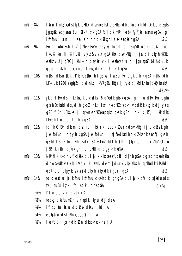- mRrj 8& I a n I nL; kads } kj k foll kkx ds e  $f =$ ; ka I sfoll kkx dh t kudkj h fd D; k dk;  $l$  g ks jgsgådsckjseaitu illk tkrk gSA ftldk mRrj ef= fyf[kr eanrsgSA ; g ifrfnu lán  $I = ea l$  án dh dk; bkgh i kjak eagkrh g $SA$  $W\$
- Hkir eafofHkUu tkfr] /ke] Hkk"kk ds ykx fuokl djrs g\$ftudk jgu&l gu] mRrj 9& 「kku&iku] fjfr&fjokt vyx&vyx q&A {k = dsvk/kkj i j j x : i cksyh Hkk"kk eallkh vuri gsfQj llkh llkkjr dsykx vkil eafeyty dj jgrsgâA bl h dkj.k gekjh I LÑfr dk vudrk es, drk dak tkrk g\$A  $W_2$
- mRrj 10&  $n{M}$  dks nf{k.k, f'k; kbl{k $\epsilon$ ; h I q; k $\kappa$  I  $\kappa$ Bu Hkh dgk tkrk gSA n{kd dh LFkki uk 1980 eagblbl dsl nL; jk"Vagå& Hkkjr] Jhyndk] i kfdLrku] ckllyknskA **VAS21/2**
- jkT; I Hkk ds I nL; kadk dk; blky 6 o"kldk gkrk gSA ; g I nu dHkh Hkax ugha mRri 11& gkrh D; kablds, d frgkbllnL; ifr nkso"kldsckn vodk'k xg.k dj yrs  $\alpha$ SA fj $D$ r LFkkuka i ji $\mu$ % nkso "k $l$  ea p $\mu$ ko gk $r$ k g $S$  bl ckj.k jk $T$ ; I Hkk cks LFkk; h I nu dak tkrk aSA  $W_2$
- fdl h 0; fDr dksml ds: fp]; kk; rk, oadk; *I*kerk ds vk/kkj i j dk; hsuk gh  $mRri$  12 $8$ Je follktu daykrk gSA Je follktu I sJfedkadh dk; I {kerk eaof} gkrh q\$ bl I smRiknu Hkh c<Fk q\$A vFkkh-fdl h 0; fDr }kjk fdl h dk; lfo'kk ea J&Brk ikir djuk gh Je follktu dgykrk g\$A  $W_2$
- NRrhl  $x$ <+dh vf/kdkak tula; k xkoka eafuokl dirh qSA; qka dh xkeh.kka  $m$ Rri 13& dh oskhkilikk vaxiina i Vdk; k i BNk] deht] dijrk vkj /kksrh i q "kka dk i ks kkd g\$ tcfd efgyk; a yokjk] pksyh] i ksydk i gurh g\$A **VB**V<sub>2</sub>
- fo'o eatul {; k fnu ifrfnu c<Fh tk jgh gSA tul {; k of) dksjkdusds m $R$ rj 14 $\&$ fy, fuEu izkl fd; stkldrsg&A  $(1x3)$ 
	- f'k{kk dsid kj ds }kjk A **狐**
	- fookg dksfu/kktjr vk; qdk ikyu dj dsA ₩
	- ifjokj fu; kstu dk; Øe dksviukdj A 1/31/2
	- V4½ eukjatu dslk/kukaea of) dj A
	- lekftd lirk dk; Øe dksc<kok ndj A  $1/5/2$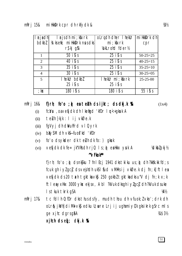|                | $\vert \mathbf{r} \vert$ and $\vert \mathbf{r} \vert$ is dhimi; kfixrk | olrach dher I hekur millkkork dh |                |
|----------------|------------------------------------------------------------------------|----------------------------------|----------------|
| bdkb2          | VatkseW; millkkprk nusdks                                              | $mi$ ; kf $x$ rk                 | cpr            |
|                | $rs$ kj g $\frac{r}{2}$                                                | <b>YokLrohd fder1/2</b>          |                |
| $\mathbf{1}$   | $50$ is s                                                              | $25$ is s                        | $50-25=25$     |
| 2              | 40 is s                                                                | $25$ is s                        | $40 - 25 = 15$ |
| $\overline{3}$ | $35$ is s                                                              | $25$ is s                        | $35 - 25 = 10$ |
| $\overline{4}$ | $30$ is s                                                              | $25$ is s                        | $30 - 25 = 05$ |
| 5              | I hekUr bdkbl                                                          | I hekUr mi ; kfxrk               | $25 - 25 - 00$ |
|                | $25$ is s                                                              | $25$ is s                        |                |
| ; kx           | $180$ is s                                                             | 180 is $s$                       | $55$ is s      |

f} $r h$ ; fo'o ;  $\phi$  ea teluh ds ijkt; ds dkj.k %R  $m$ Rrj 16 $\&$ 

 $(1x4)$ 

- fc:Vsu, oavefjdk dh I kefigd 'kfDr I n<+gksuk A  $(i)$
- teluh }kjk : I ij vkØe.k  $(ii)$
- fgVyj dh dWuhfrd vl Qyrk  $(iii)$
- $b\&y\$ SM dh  $v$ k\$---fuos kd 'kfDr  $(iv)$
- fo'o dsykder dk teluh dk fo: ) gkuk  $(v)$
- vefjdk dk fe= jk"Vks dh rjQ  $1 s$ ;  $\phi$  ealkkx yuk A Vakbl pkj 1/2  $(vi)$

### "VFkok\*\*

f}rh; fo'o; $\phi$  dsnk $\sin 7$  fnl Ecj 1941 dkstkiku us; $\phi$  dh?kksk.kk fd; s fcuk gh iylgci dsvejhdh uksl fud vMMsij vkØe.k dj fn;kj ftlea vefjdk ds 20 tach tgktka vkj 250 gokbl tgktka dks u"V dj fn; k x; k ftleayxHx 3000 ykx ekjsx, A bl ?kVuk dksqhiylgcidh?kVuk dsuke I s tkuk tkrk gSA 1/41/2

m $Rri$  17 $8$ tc fdl h  $0$ ; fDr dks thus ds fy, mudh thou dh vfuok;  $l$  vko'; drk dh olr& jkVh diMk vk\$ edku U; wre Lrj ij ughamiyC/k gksikrk g\$rc ml s **VAS31/2** ge xilc dgrsg&A

 $x$  jhch ds  $ef$ ; dkj.k  $%$ 

virendra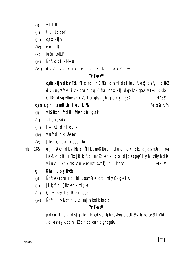- $Vf'$ k{kk  $(i)$
- tul  $\mathfrak{f}$ ; k of)  $(ii)$
- cjkst xkjh  $(iii)$
- $e \mathbf{M}$ ; of)  $(iv)$
- fuEu LokLF;  $(v)$
- Ñf"k dk fi NM<del>k</del>i u  $(vi)$
- (vii) dk; lds vuot kj i kfj Jehd u feyuk Volkblrhul<sub>2</sub>

# "VFkok\*\*

citation of the  $\mathbf{r}$  and  $\mathbf{r}$  and  $\mathbf{r}$  and  $\mathbf{r}$  and  $\mathbf{r}$  and  $\mathbf{r}$  and  $\mathbf{r}$  and  $\mathbf{r}$  and  $\mathbf{r}$  and  $\mathbf{r}$  and  $\mathbf{r}$  and  $\mathbf{r}$  and  $\mathbf{r}$  and  $\mathbf{r}$  and  $\mathbf{r}$  and  $\mathbf{r}$  a dk; lugha fey ikrk gs rc og 0; fDr cjkst xkj dgykrk gs A vFkkr dolky 0; fDr ds gkFkka ea dk; l dk u gkuk gh cjkst xkjh gSA 14 \$ 3 1/2

# cjkstxkjh IsmRiUu I eL; k %R

Volkblrhul<sub>2</sub>

- vkS| kfxd fodk| f/keh xfr gkuk  $(i)$
- $x$ fich  $c$   $lt$   $t$  $(ii)$
- $f$ kk | kUu dh | eL; k  $(iii)$
- $(iv)$  vufrd dk;  $k$  export)
- Jfedka dokyrk ea deha  $(v)$

gfir Økir dk vfilkik; Ñf'k en okkfud rduldh dk izkx didsmlur, oa mRri 18& ielf.kr cht rFkk jkl k; fud mojdkadk iz kx djdscqqQl yh izkkyh dks viukdj Ñf'k mRiknu eavHkriplof) djuk q\$A 14 \$ 3 1/2

## gfjr Økar ds yklik%&

- Nf''k eswohu rduhd, oamRre cht mi yC/k gkuk A  $(i)$
- j I k; fud [kknkadk mi ; kx  $(ii)$
- $QI \vee pQ$  I smRiknu exof)  $(iii)$
- $\tilde{N}$ f"k i j vk/kkfjr v $\mathsf{U}$ ; m | kskadk fodkl  $(iv)$

### "VFkok\*\*

pdcmh I jdkj ds}kjk fdI kukadsfc[kjh gb]Hkfie, oaNkVs[krkadseM+gVkdj , d eafeykus dh ifØ; k pdcnh dgrsgåA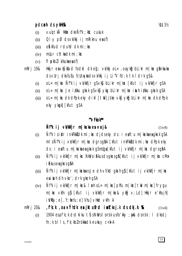### pdcnh ds yklk%&

- vui tkå Hkie dks Ñf'k; kk; cukuk  $(i)$
- $QI \vee pQ$  ds vk/kkj i j mRiknu expof)  $(ii)$
- okkfud rduld dk mi ; kx  $(iii)$
- mllur  $cht$ kadk mi $:$ k $x$  $(iv)$
- $f$   $\mathsf{D}$   $k$ bl  $\mathsf{D}$   $k$   $\mathsf{N}$   $k$   $\mathsf{U}$   $k$   $\mathsf{U}$   $k$   $\mathsf{U}$   $k$   $\mathsf{U}$   $k$   $\mathsf{U}$   $k$   $\mathsf{U}$   $k$   $\mathsf{U}$   $k$   $\mathsf{U}$   $k$   $\mathsf{U}$   $k$   $\mathsf{U}$   $k$   $\mathsf{U}$   $k$   $\mathsf{U}$   $k$   $\mathsf{U}$   $k$   $\mathsf{U}$  $(v)$
- Hkkjr eavk $\int$ kfxd fodkl dk ef; vk/kkj oL=, oayk $\int$ g bLikr m|kx q $\int$ nkuka mRrj 19& ds vurj dks fu Eu fcunyka ds vk/kkj i j Li "V fd; k tk I drk q\$&
	- $ol = m$ |kx Ñf'k ij vk/kkfjr q $s$ vk $s$  blikr m|kx [kfut ij vk/kkfjr q $s$ A  $(i)$
	- $ol = m$ | kx Je i tku gkrk g $s \vee k\overline{s}$  ykg blikr m| kx inthitku gkrk g $sA$  $(ii)$
	- $ol = m$ | kx dk dPpk eky dikl | tw| jske vk $\mathfrak s$  yk $\mathfrak s$  blikr m| kx dk dPpk  $(iii)$ eky ykok [kfut qSA

#### "VFkok"

# Ñf'k ij vk/kkfjr m|kska ea vrj&

 $(1x4)$ 

- Ñf'k I siklr inkFkk $\overline{s}$ dk mi; kx djdseky ds: i eaftu m|kxkaeagkrk qSA  $(i)$ mls Ñf'k ij vk/kkfjr m|kx dgrsg\$A [kfut inkFkk}dk mi; kx dPpk eky ds: i eaftu m | kxka ea gkrk q\$mUqa [kfut ij vk/kkfjr m | kx dgrsqâA
- Ñf'k ij vk/kkfjr m | kx NkVs i £kus ds gkrs qå [kfut ij vk/kkfjr m | kx cMs  $(ii)$ i fekus en gkrs gfi A
- Ñf'k ij vk/kkfjr m|kskaesJe dh vf/kd gkrh g} [kfut ij vk/kkfjr m|ks  $(iii)$ eainth dh vko'; drk gkrh gSA
- Nf'k ij vk/kkfjr m|kx& lurh oL= m|kx] phfu m|kx] tW m|kx] frygu  $(iv)$ m|kx vkfn g} [kfut ij vk/kkfjr m|kx& ykg v; Ld] Hkkjr e'khujh]  $i$  Wkfy; e], Y; fiefu; e] Vhu] vHkd vkfn A
- , f'k; k , oa vÝhdk ea jktufrd iwltkxj.k ds dkj.k %R m $R$ rj 20 $\&$  $(1x4)$ 
	- 1904 esafk; k ds thi ku ti s NkVs I snsk usfolkky; jiki dsnsk: I dksdj  $(i)$  $fn; k bl Is, f'k; kbZ$  ns kka dk eukcy c<  $k A$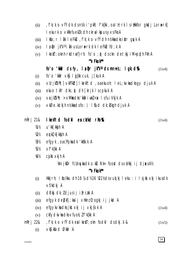- f'k; k o vfÝdk dsnsk i 'pkR; f'k{kk, oal H; rk l sillkkfor gkdj Lorærk],  $(ii)$ I ekurk o vkRefueklk dh ckral kpus yxs Fks A
- Ikfo; r I ak I eFku, f'k; k o vfÝdh nskka dksiklr quyk A  $(iii)$
- la pr jk"Val ak us Lora=rk dk leFkLu fd; k A  $(iv)$
- I kekT; oknh rkdraf}rh; fo'o ; o dsckn detkj i M+ppdh Fkh A  $(v)$

#### "VFkok\*\*

#### fo'o 'kkafr ds fy, la pr jk"V" ds mnns; l gk; d%&  $(1x4)$

- fo'o 'kkár vk§ loj{kk cuk, j[kuk A  $(i)$
- vUrik'Vh; | vkfFkd| I kekftd, oaekuoh; I eL; kvkadks gy djuk A  $(ii)$
- ekuo tkfr dks; o dh [krjk | scpkuk A  $(iii)$
- vrik!Vh; >xMkadks 'kkariwk!< x | sfuiVkjk A  $(iv)$
- vkØe.kdkjh nskkadsfo: ) I sud dk; bkgh djuk A  $(v)$

#### I kekftd fodkl en ck/kd r ko%k  $m$ Rri 21&

- u'kk[kkjh A **狐**
- $W_2$ eukQk[kkjh A
- efgyk, oa cPpka dk 'kksk.k A  $1/31/2$
- $Vf'$ k{kk A 1/51/2
- 1/61/2  $c$ *j* kst  $x$ kj h A

VmijkDr fcUnykadko.ku Nk= food dsvk/kkjijdjaksA1/2

#### "VFkok\*\*

- Hkkjrh; I to/kku dh 16 ¼ d½ 16 ½ 1½ dsvu $\phi$ kj leku : i lsjkst $x$ kj ikusdk  $(i)$ vf/kdkj A
- dBkj dk; Idjusij ifrcak A  $(ii)$
- efgyk depkfj; kaij vHknz 0; ogkj ij jkd A  $(iii)$
- efgyk∨ka dks jkst xkj i j vkj{k.k A  $(iv)$  $(1x4)$
- ckfydkvka dks vfuok; If'k{kk A  $(v)$
- , f'k; k o vfÝdk eal kekT; okn fodkl ds dkj. k & m $R$ rj 22 $\&$  $(1x5)$ 
	- vkS| kfxd Økfir A  $(i)$

 $(1x4)$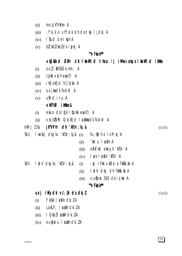- mxz jk"Vokn A  $(ii)$
- fk; k o vfÝdk dh detkj ljdkj A  $(iii)$
- I fud detkjh A  $(iv)$
- bl kbl/keldk ipkj A  $(v)$

#### $\sim$ Fkok $\sim$

vkS kfxd Økfr dk I kekftd thou ij i Musokys I kekftd i ilkko

- oxll ak"kldk mn; A  $(i)$
- cjkst xkjh ea of) A  $(ii)$
- i kfjokfjd fc[kjko A  $(iii)$
- uxjkadk fodkl A  $(iv)$
- ufrd iru A  $(v)$

## vkfFkd i tlko&

- ekuo ds I (k I to/kk eaof) A  $(i)$
- $\forall$ **r** jk $\forall$ h; 0; ki kfjd 1 **c**akka dk fodkl A  $(ii)$

#### jk"Vifr dh 'kfDr; k; &  $m$ Rri 23&

 $lkell;$  dkyhu 'kf $Dr; k_i &$  (i)  $M\frac{1}{2}$  $fu$ ;  $Qrh$  o in $P;$   $r A$ 

- 'kklu læá⁄k A  $(ii)$
- ofis'kd ekeyk 'kfDr A  $(iii)$
- $(iv)$  |  $uk$  |  $\epsilon k/k$  ' $kfDr$  A
- I alv dkyhu 'kfDr; kj &  $1/21/2$  $(i)$ 
	- I adV dky dh ?kkšk.kk A  $(ii)$

 $\phi$  rFkk vkØe.k ?kksk.kk A

 $V$ uman 360 dk i z k $\times$  A  $(iii)$ 

#### "VFkok\*\*

### uxj ikfydk v/; {k ds dk; l

 $(1x5)$ 

 $(1x5)$ 

- $f'$ k{kk |  $\epsilon$ á/k  $dk$ ;  $l$  A  $(i)$
- LokLF; I cakh dk; I A  $(ii)$
- I QkbZ I **cá**kh dk; Z A  $(iii)$
- eukjatu I cakh dk; IA  $(iv)$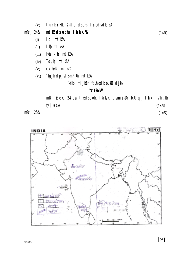#### mRrj 24& mtkl ds uohu Id kku%k

- iou mtWA  $(i)$
- Ikg mtkZA  $(ii)$
- Hk&rkih; mtkZA  $(iii)$
- Tokjh; mtklA  $(iv)$
- ck; kekl mtklA  $(v)$
- 'kgjh dpjslsmRiUu mtkZA  $(vi)$

Wille mijkDr fcUnqdk o.ku djk

## "VFkok\*\*

mRrj Øekød 24 eamtkldsuohu I a k/ku dsmijkDr fcUnqij I a{kIr fVIi.kh fy[kasA  $(1x5)$ 

mRrj 25&



 $(1x5)$ 

 $(1x5)$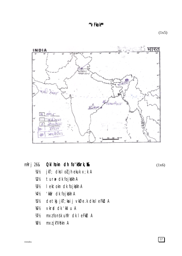

mRrj 26& Okl hokn dh fo'kskrk, &&

 $(1x6)$ 

- jkT; dks I oli jh ekuk x; k A 2 tur# dk fojkkh A  $1/21/2$
- $1/31/2$
- I ektokn dk fojkkh A
- 'kkár dk fojkskh A  $1/41/2$
- detkj jkT; kaij vkØe.k dksleFkU A  $1/5/2$
- vkrd dk 'kkl u A  $1/6!/2$
- $W_2$ mxz fonsk uhfr dk I eFkd A
- mxzjk"Vokn A  $1/8\frac{1}{2}$